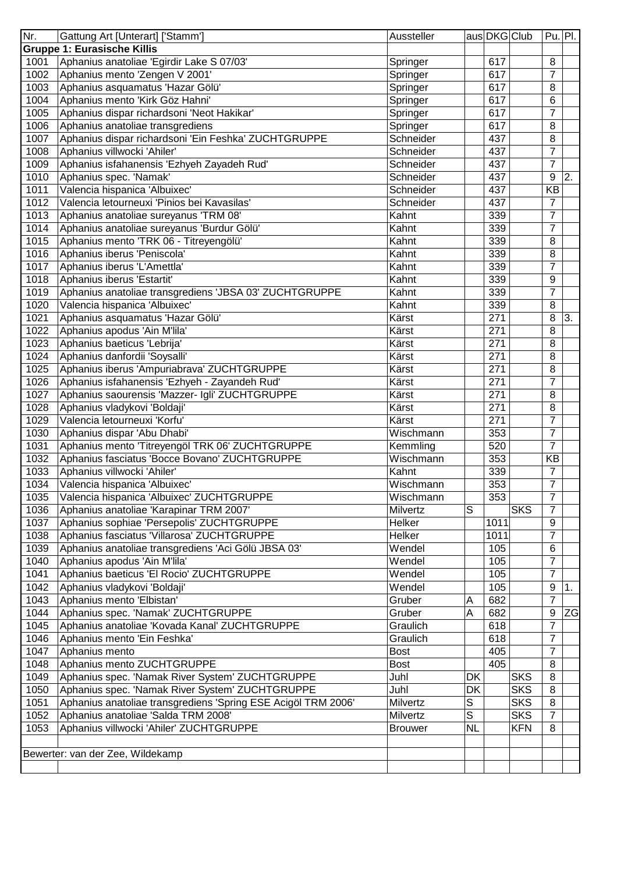| Nr.  | Gattung Art [Unterart] ['Stamm']                              | Aussteller     |                | aus DKG Club |            | $Pu.$ Pl.        |    |
|------|---------------------------------------------------------------|----------------|----------------|--------------|------------|------------------|----|
|      | <b>Gruppe 1: Eurasische Killis</b>                            |                |                |              |            |                  |    |
| 1001 | Aphanius anatoliae 'Egirdir Lake S 07/03'                     | Springer       |                | 617          |            | 8                |    |
| 1002 | Aphanius mento 'Zengen V 2001'                                | Springer       |                | 617          |            | $\overline{7}$   |    |
| 1003 | Aphanius asquamatus 'Hazar Gölü'                              | Springer       |                | 617          |            | 8                |    |
| 1004 | Aphanius mento 'Kirk Göz Hahni'                               | Springer       |                | 617          |            | 6                |    |
| 1005 | Aphanius dispar richardsoni 'Neot Hakikar'                    | Springer       |                | 617          |            | $\overline{7}$   |    |
| 1006 | Aphanius anatoliae transgrediens                              | Springer       |                | 617          |            | 8                |    |
| 1007 | Aphanius dispar richardsoni 'Ein Feshka' ZUCHTGRUPPE          | Schneider      |                | 437          |            | 8                |    |
| 1008 | Aphanius villwocki 'Ahiler'                                   | Schneider      |                | 437          |            | 7                |    |
| 1009 | Aphanius isfahanensis 'Ezhyeh Zayadeh Rud'                    | Schneider      |                | 437          |            | $\overline{7}$   |    |
| 1010 | Aphanius spec. 'Namak'                                        | Schneider      |                | 437          |            | 9                | 2. |
| 1011 | Valencia hispanica 'Albuixec'                                 | Schneider      |                | 437          |            | KB               |    |
| 1012 | Valencia letourneuxi 'Pinios bei Kavasilas'                   | Schneider      |                | 437          |            | $\overline{7}$   |    |
| 1013 | Aphanius anatoliae sureyanus 'TRM 08'                         | Kahnt          |                | 339          |            | $\overline{7}$   |    |
| 1014 | Aphanius anatoliae sureyanus 'Burdur Gölü'                    | Kahnt          |                | 339          |            | $\overline{7}$   |    |
| 1015 | Aphanius mento 'TRK 06 - Titreyengölü'                        | Kahnt          |                | 339          |            | 8                |    |
|      |                                                               | Kahnt          |                | 339          |            | 8                |    |
| 1016 | Aphanius iberus 'Peniscola'                                   |                |                |              |            | $\overline{7}$   |    |
| 1017 | Aphanius iberus 'L'Amettla'                                   | Kahnt          |                | 339          |            |                  |    |
| 1018 | Aphanius iberus 'Estartit'                                    | Kahnt          |                | 339          |            | 9                |    |
| 1019 | Aphanius anatoliae transgrediens 'JBSA 03' ZUCHTGRUPPE        | Kahnt          |                | 339          |            | $\overline{7}$   |    |
| 1020 | Valencia hispanica 'Albuixec'                                 | Kahnt          |                | 339          |            | $\overline{8}$   |    |
| 1021 | Aphanius asquamatus 'Hazar Gölü'                              | Kärst          |                | 271          |            | 8                | 3. |
| 1022 | Aphanius apodus 'Ain M'lila'                                  | Kärst          |                | 271          |            | 8                |    |
| 1023 | Aphanius baeticus 'Lebrija'                                   | Kärst          |                | 271          |            | 8                |    |
| 1024 | Aphanius danfordii 'Soysalli'                                 | Kärst          |                | 271          |            | 8                |    |
| 1025 | Aphanius iberus 'Ampuriabrava' ZUCHTGRUPPE                    | Kärst          |                | 271          |            | 8                |    |
| 1026 | Aphanius isfahanensis 'Ezhyeh - Zayandeh Rud'                 | Kärst          |                | 271          |            | $\overline{7}$   |    |
| 1027 | Aphanius saourensis 'Mazzer- Igli' ZUCHTGRUPPE                | Kärst          |                | 271          |            | 8                |    |
| 1028 | Aphanius vladykovi 'Boldaji'                                  | Kärst          |                | 271          |            | 8                |    |
| 1029 | Valencia letourneuxi 'Korfu'                                  | Kärst          |                | 271          |            | $\overline{7}$   |    |
| 1030 | Aphanius dispar 'Abu Dhabi'                                   | Wischmann      |                | 353          |            | $\overline{7}$   |    |
| 1031 | Aphanius mento 'Titreyengöl TRK 06' ZUCHTGRUPPE               | Kemmling       |                | 520          |            | $\overline{7}$   |    |
| 1032 | Aphanius fasciatus 'Bocce Bovano' ZUCHTGRUPPE                 | Wischmann      |                | 353          |            | <b>KB</b>        |    |
| 1033 | Aphanius villwocki 'Ahiler'                                   | Kahnt          |                | 339          |            | $\overline{7}$   |    |
| 1034 | Valencia hispanica 'Albuixec'                                 | Wischmann      |                | 353          |            | $\overline{7}$   |    |
| 1035 | Valencia hispanica 'Albuixec' ZUCHTGRUPPE                     | Wischmann      |                | 353          |            | $\overline{7}$   |    |
| 1036 | Aphanius anatoliae 'Karapinar TRM 2007'                       | Milvertz       | S              |              | <b>SKS</b> | $\overline{7}$   |    |
| 1037 | Aphanius sophiae 'Persepolis' ZUCHTGRUPPE                     | Helker         |                | 1011         |            | $\boldsymbol{9}$ |    |
| 1038 | Aphanius fasciatus 'Villarosa' ZUCHTGRUPPE                    | Helker         |                | 1011         |            | $\overline{7}$   |    |
| 1039 | Aphanius anatoliae transgrediens 'Aci Gölü JBSA 03'           | Wendel         |                | 105          |            | 6                |    |
| 1040 | Aphanius apodus 'Ain M'lila'                                  | Wendel         |                | 105          |            | 7                |    |
| 1041 | Aphanius baeticus 'El Rocio' ZUCHTGRUPPE                      | Wendel         |                | 105          |            | 7                |    |
| 1042 | Aphanius vladykovi 'Boldaji'                                  | Wendel         |                | 105          |            | 9                | 1. |
| 1043 | Aphanius mento 'Elbistan'                                     | Gruber         |                | 682          |            | $\overline{7}$   |    |
|      |                                                               |                | Α              |              |            |                  |    |
| 1044 | Aphanius spec. 'Namak' ZUCHTGRUPPE                            | Gruber         | A              | 682          |            | 9                | ZG |
| 1045 | Aphanius anatoliae 'Kovada Kanal' ZUCHTGRUPPE                 | Graulich       |                | 618          |            | $\overline{7}$   |    |
| 1046 | Aphanius mento 'Ein Feshka'                                   | Graulich       |                | 618          |            | $\overline{7}$   |    |
| 1047 | Aphanius mento                                                | <b>Bost</b>    |                | 405          |            | $\overline{7}$   |    |
| 1048 | Aphanius mento ZUCHTGRUPPE                                    | <b>Bost</b>    |                | 405          |            | 8                |    |
| 1049 | Aphanius spec. 'Namak River System' ZUCHTGRUPPE               | Juhl           | DK             |              | <b>SKS</b> | 8                |    |
| 1050 | Aphanius spec. 'Namak River System' ZUCHTGRUPPE               | Juhl           | DK             |              | <b>SKS</b> | 8                |    |
| 1051 | Aphanius anatoliae transgrediens 'Spring ESE Acigöl TRM 2006' | Milvertz       | S              |              | <b>SKS</b> | 8                |    |
| 1052 | Aphanius anatoliae 'Salda TRM 2008'                           | Milvertz       | $\overline{s}$ |              | <b>SKS</b> | $\overline{7}$   |    |
| 1053 | Aphanius villwocki 'Ahiler' ZUCHTGRUPPE                       | <b>Brouwer</b> | <b>NL</b>      |              | <b>KFN</b> | 8                |    |
|      |                                                               |                |                |              |            |                  |    |
|      | Bewerter: van der Zee, Wildekamp                              |                |                |              |            |                  |    |
|      |                                                               |                |                |              |            |                  |    |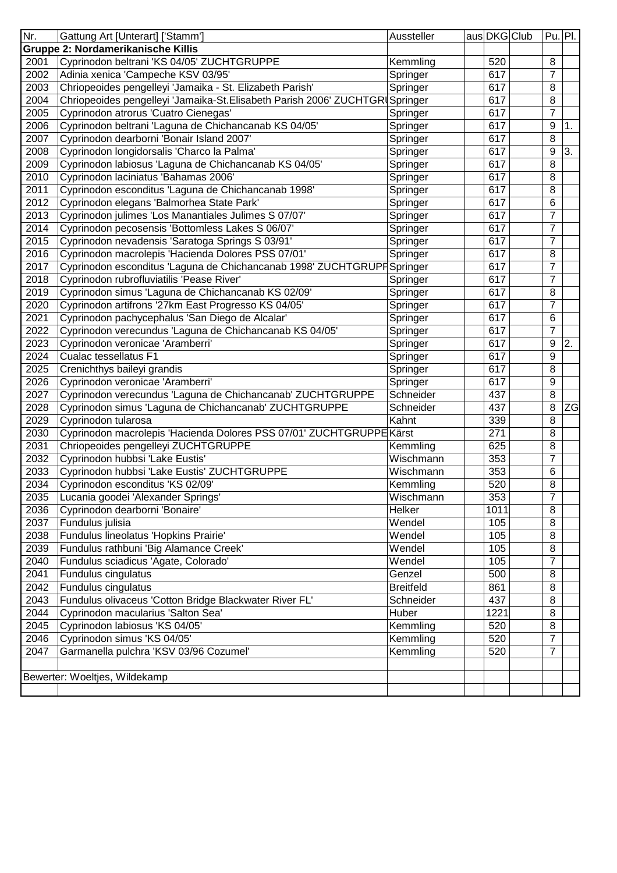| Nr.  | Gattung Art [Unterart] ['Stamm']                                              | Aussteller       | aus DKG Club | Pu. Pl.          |    |
|------|-------------------------------------------------------------------------------|------------------|--------------|------------------|----|
|      | Gruppe 2: Nordamerikanische Killis                                            |                  |              |                  |    |
| 2001 | Cyprinodon beltrani 'KS 04/05' ZUCHTGRUPPE                                    | Kemmling         | 520          | 8                |    |
| 2002 | Adinia xenica 'Campeche KSV 03/95'                                            | Springer         | 617          | $\overline{7}$   |    |
| 2003 | Chriopeoides pengelleyi 'Jamaika - St. Elizabeth Parish'                      | Springer         | 617          | 8                |    |
| 2004 | Chriopeoides pengelleyi 'Jamaika-St. Elisabeth Parish 2006' ZUCHTGRI Springer |                  | 617          | 8                |    |
| 2005 | Cyprinodon atrorus 'Cuatro Cienegas'                                          | Springer         | 617          | 7                |    |
| 2006 | Cyprinodon beltrani 'Laguna de Chichancanab KS 04/05'                         | Springer         | 617          | $\boldsymbol{9}$ | 1. |
| 2007 | Cyprinodon dearborni 'Bonair Island 2007'                                     | Springer         | 617          | 8                |    |
| 2008 | Cyprinodon longidorsalis 'Charco la Palma'                                    | Springer         | 617          | $\boldsymbol{9}$ | 3. |
| 2009 | Cyprinodon labiosus 'Laguna de Chichancanab KS 04/05'                         | Springer         | 617          | 8                |    |
| 2010 | Cyprinodon laciniatus 'Bahamas 2006'                                          | Springer         | 617          | 8                |    |
| 2011 | Cyprinodon esconditus 'Laguna de Chichancanab 1998'                           | Springer         | 617          | 8                |    |
| 2012 | Cyprinodon elegans 'Balmorhea State Park'                                     | Springer         | 617          | $6\phantom{1}6$  |    |
| 2013 | Cyprinodon julimes 'Los Manantiales Julimes S 07/07'                          | Springer         | 617          | $\overline{7}$   |    |
| 2014 | Cyprinodon pecosensis 'Bottomless Lakes S 06/07'                              | Springer         | 617          | $\overline{7}$   |    |
| 2015 | Cyprinodon nevadensis 'Saratoga Springs S 03/91'                              | Springer         | 617          | $\overline{7}$   |    |
| 2016 | Cyprinodon macrolepis 'Hacienda Dolores PSS 07/01'                            | Springer         | 617          | 8                |    |
| 2017 | Cyprinodon esconditus 'Laguna de Chichancanab 1998' ZUCHTGRUPF Springer       |                  | 617          | $\overline{7}$   |    |
| 2018 | Cyprinodon rubrofluviatilis 'Pease River'                                     | Springer         | 617          | $\overline{7}$   |    |
| 2019 | Cyprinodon simus 'Laguna de Chichancanab KS 02/09'                            | Springer         | 617          | 8                |    |
| 2020 | Cyprinodon artifrons '27km East Progresso KS 04/05'                           | Springer         | 617          | 7                |    |
| 2021 | Cyprinodon pachycephalus 'San Diego de Alcalar'                               | Springer         | 617          | $\,6$            |    |
| 2022 | Cyprinodon verecundus 'Laguna de Chichancanab KS 04/05'                       | Springer         | 617          | $\overline{7}$   |    |
| 2023 | Cyprinodon veronicae 'Aramberri'                                              | Springer         | 617          | $\boldsymbol{9}$ | 2. |
| 2024 | Cualac tessellatus F1                                                         | Springer         | 617          | 9                |    |
| 2025 | Crenichthys baileyi grandis                                                   | Springer         | 617          | 8                |    |
| 2026 | Cyprinodon veronicae 'Aramberri'                                              | Springer         | 617          | 9                |    |
| 2027 | Cyprinodon verecundus 'Laguna de Chichancanab' ZUCHTGRUPPE                    | Schneider        | 437          | 8                |    |
| 2028 | Cyprinodon simus 'Laguna de Chichancanab' ZUCHTGRUPPE                         | Schneider        | 437          | 8                | ZG |
| 2029 | Cyprinodon tularosa                                                           | Kahnt            | 339          | 8                |    |
| 2030 | Cyprinodon macrolepis 'Hacienda Dolores PSS 07/01' ZUCHTGRUPPE Kärst          |                  | 271          | $\overline{8}$   |    |
| 2031 | Chriopeoides pengelleyi ZUCHTGRUPPE                                           | Kemmling         | 625          | 8                |    |
| 2032 | Cyprinodon hubbsi 'Lake Eustis'                                               | Wischmann        | 353          | $\overline{7}$   |    |
| 2033 | Cyprinodon hubbsi 'Lake Eustis' ZUCHTGRUPPE                                   | Wischmann        | 353          | $\,6$            |    |
| 2034 | Cyprinodon esconditus 'KS 02/09'                                              | Kemmling         | 520          | 8                |    |
| 2035 | Lucania goodei 'Alexander Springs'                                            | Wischmann        | 353          | T                |    |
| 2036 | Cyprinodon dearborni 'Bonaire'                                                | Helker           | 1011         | 8                |    |
| 2037 | Fundulus julisia                                                              | Wendel           | 105          | 8                |    |
| 2038 | Fundulus lineolatus 'Hopkins Prairie'                                         | Wendel           | 105          | 8                |    |
| 2039 | Fundulus rathbuni 'Big Alamance Creek'                                        | Wendel           | 105          | 8                |    |
| 2040 | Fundulus sciadicus 'Agate, Colorado'                                          | Wendel           | 105          | $\overline{7}$   |    |
| 2041 | Fundulus cingulatus                                                           | Genzel           | 500          | 8                |    |
| 2042 | Fundulus cingulatus                                                           | <b>Breitfeld</b> | 861          | 8                |    |
| 2043 | Fundulus olivaceus 'Cotton Bridge Blackwater River FL'                        | Schneider        | 437          | 8                |    |
| 2044 | Cyprinodon macularius 'Salton Sea'                                            | Huber            | 1221         | 8                |    |
| 2045 | Cyprinodon labiosus 'KS 04/05'                                                | Kemmling         | 520          | 8                |    |
| 2046 | Cyprinodon simus 'KS 04/05'                                                   | Kemmling         | 520          | $\overline{7}$   |    |
| 2047 | Garmanella pulchra 'KSV 03/96 Cozumel'                                        | Kemmling         | 520          | $\overline{7}$   |    |
|      |                                                                               |                  |              |                  |    |
|      | Bewerter: Woeltjes, Wildekamp                                                 |                  |              |                  |    |
|      |                                                                               |                  |              |                  |    |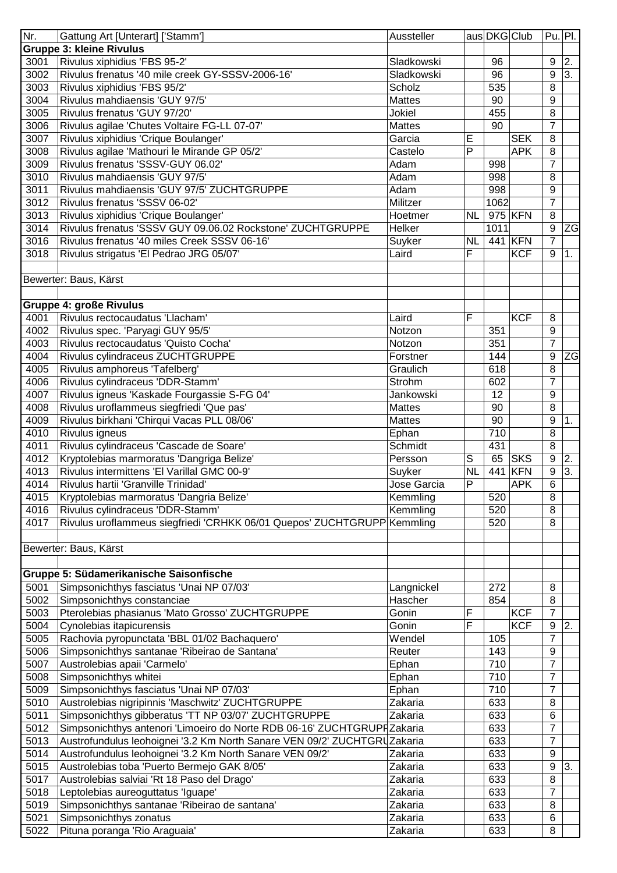| Nr.  | Gattung Art [Unterart] ['Stamm']                                         | Aussteller       |                | aus DKG Club |            |                  | $Pu.$ Pl. |
|------|--------------------------------------------------------------------------|------------------|----------------|--------------|------------|------------------|-----------|
|      | <b>Gruppe 3: kleine Rivulus</b>                                          |                  |                |              |            |                  |           |
| 3001 | Rivulus xiphidius 'FBS 95-2'                                             | Sladkowski       |                | 96           |            | $\boldsymbol{9}$ | 2.        |
| 3002 | Rivulus frenatus '40 mile creek GY-SSSV-2006-16'                         | Sladkowski       |                | 96           |            | 9                | 3.        |
| 3003 | Rivulus xiphidius 'FBS 95/2'                                             | Scholz           |                | 535          |            | 8                |           |
| 3004 | Rivulus mahdiaensis 'GUY 97/5'                                           | <b>Mattes</b>    |                | 90           |            | 9                |           |
| 3005 | Rivulus frenatus 'GUY 97/20'                                             | Jokiel           |                | 455          |            | 8                |           |
| 3006 | Rivulus agilae 'Chutes Voltaire FG-LL 07-07'                             | <b>Mattes</b>    |                | 90           |            | $\overline{7}$   |           |
| 3007 | Rivulus xiphidius 'Crique Boulanger'                                     | Garcia           | E              |              | <b>SEK</b> | 8                |           |
| 3008 | Rivulus agilae 'Mathouri le Mirande GP 05/2'                             | Castelo          | P              |              | <b>APK</b> | 8                |           |
| 3009 | Rivulus frenatus 'SSSV-GUY 06.02'                                        | Adam             |                | 998          |            | $\overline{7}$   |           |
| 3010 | Rivulus mahdiaensis 'GUY 97/5'                                           | Adam             |                | 998          |            | 8                |           |
| 3011 | Rivulus mahdiaensis 'GUY 97/5' ZUCHTGRUPPE                               | Adam             |                | 998          |            | 9                |           |
| 3012 | Rivulus frenatus 'SSSV 06-02'                                            | Militzer         |                | 1062         |            | $\overline{7}$   |           |
| 3013 | Rivulus xiphidius 'Crique Boulanger'                                     | Hoetmer          | <b>NL</b>      |              | 975 KFN    | 8                |           |
| 3014 | Rivulus frenatus 'SSSV GUY 09.06.02 Rockstone' ZUCHTGRUPPE               | Helker           |                | 1011         |            | $\boldsymbol{9}$ | ZG        |
| 3016 | Rivulus frenatus '40 miles Creek SSSV 06-16'                             | Suyker           | <b>NL</b>      |              | 441 KFN    | $\overline{7}$   |           |
| 3018 | Rivulus strigatus 'El Pedrao JRG 05/07'                                  | Laird            | F              |              | <b>KCF</b> | 9                | 1.        |
|      |                                                                          |                  |                |              |            |                  |           |
|      | Bewerter: Baus, Kärst                                                    |                  |                |              |            |                  |           |
|      |                                                                          |                  |                |              |            |                  |           |
|      | <b>Gruppe 4: große Rivulus</b>                                           |                  |                |              |            |                  |           |
| 4001 | Rivulus rectocaudatus 'Llacham'                                          | Laird            | F              |              | <b>KCF</b> | 8                |           |
| 4002 | Rivulus spec. 'Paryagi GUY 95/5'                                         | Notzon           |                | 351          |            | 9                |           |
| 4003 | Rivulus rectocaudatus 'Quisto Cocha'                                     | Notzon           |                | 351          |            | $\overline{7}$   |           |
| 4004 | Rivulus cylindraceus ZUCHTGRUPPE                                         | Forstner         |                | 144          |            | 9                | <b>ZG</b> |
| 4005 | Rivulus amphoreus 'Tafelberg'                                            | Graulich         |                | 618          |            | 8                |           |
| 4006 | Rivulus cylindraceus 'DDR-Stamm'                                         | Strohm           |                | 602          |            | $\overline{7}$   |           |
| 4007 | Rivulus igneus 'Kaskade Fourgassie S-FG 04'                              | Jankowski        |                | 12           |            | 9                |           |
| 4008 | Rivulus uroflammeus siegfriedi 'Que pas'                                 | <b>Mattes</b>    |                | 90           |            | 8                |           |
| 4009 |                                                                          |                  |                | 90           |            | 9                |           |
| 4010 | Rivulus birkhani 'Chirqui Vacas PLL 08/06'                               | <b>Mattes</b>    |                | 710          |            | $\overline{8}$   | 1.        |
| 4011 | Rivulus igneus<br>Rivulus cylindraceus 'Cascade de Soare'                | Ephan<br>Schmidt |                | 431          |            | $\overline{8}$   |           |
| 4012 |                                                                          | Persson          |                | 65           | <b>SKS</b> | $\boldsymbol{9}$ |           |
|      | Kryptolebias marmoratus 'Dangriga Belize'                                |                  | S              |              |            |                  | 2.        |
| 4013 | Rivulus intermittens 'El Varillal GMC 00-9'                              | Suyker           | <b>NL</b><br>P | 441          | <b>KFN</b> | 9<br>6           | 3.        |
| 4014 | Rivulus hartii 'Granville Trinidad'                                      | Jose Garcia      |                |              | <b>APK</b> |                  |           |
| 4015 | Kryptolebias marmoratus 'Dangria Belize'                                 | Kemmling         |                | 520          |            | 8                |           |
| 4016 | Rivulus cylindraceus 'DDR-Stamm'                                         | Kemmling         |                | 520          |            | 8                |           |
| 4017 | Rivulus uroflammeus siegfriedi 'CRHKK 06/01 Quepos' ZUCHTGRUPP Kemmling  |                  |                | 520          |            | 8                |           |
|      |                                                                          |                  |                |              |            |                  |           |
|      | Bewerter: Baus, Kärst                                                    |                  |                |              |            |                  |           |
|      |                                                                          |                  |                |              |            |                  |           |
|      | Gruppe 5: Südamerikanische Saisonfische                                  |                  |                |              |            |                  |           |
| 5001 | Simpsonichthys fasciatus 'Unai NP 07/03'                                 | Langnickel       |                | 272          |            | 8                |           |
| 5002 | Simpsonichthys constanciae                                               | Hascher          |                | 854          |            | 8                |           |
| 5003 | Pterolebias phasianus 'Mato Grosso' ZUCHTGRUPPE                          | Gonin            | F              |              | <b>KCF</b> | $\overline{7}$   |           |
| 5004 | Cynolebias itapicurensis                                                 | Gonin            | F              |              | <b>KCF</b> | 9                | 2.        |
| 5005 | Rachovia pyropunctata 'BBL 01/02 Bachaquero'                             | Wendel           |                | 105          |            | $\overline{7}$   |           |
| 5006 | Simpsonichthys santanae 'Ribeirao de Santana'                            | Reuter           |                | 143          |            | $\boldsymbol{9}$ |           |
| 5007 | Austrolebias apaii 'Carmelo'                                             | Ephan            |                | 710          |            | $\overline{7}$   |           |
| 5008 | Simpsonichthys whitei                                                    | Ephan            |                | 710          |            | $\overline{7}$   |           |
| 5009 | Simpsonichthys fasciatus 'Unai NP 07/03'                                 | Ephan            |                | 710          |            | $\overline{7}$   |           |
| 5010 | Austrolebias nigripinnis 'Maschwitz' ZUCHTGRUPPE                         | Zakaria          |                | 633          |            | 8                |           |
| 5011 | Simpsonichthys gibberatus 'TT NP 03/07' ZUCHTGRUPPE                      | Zakaria          |                | 633          |            | 6                |           |
| 5012 | Simpsonichthys antenori 'Limoeiro do Norte RDB 06-16' ZUCHTGRUPFZakaria  |                  |                | 633          |            | 7                |           |
| 5013 | Austrofundulus leohoignei '3.2 Km North Sanare VEN 09/2' ZUCHTGRUZakaria |                  |                | 633          |            | $\overline{7}$   |           |
| 5014 | Austrofundulus leohoignei '3.2 Km North Sanare VEN 09/2'                 | Zakaria          |                | 633          |            | 9                |           |
| 5015 | Austrolebias toba 'Puerto Bermejo GAK 8/05'                              | Zakaria          |                | 633          |            | 9                | 3.        |
| 5017 | Austrolebias salviai 'Rt 18 Paso del Drago'                              | Zakaria          |                | 633          |            | 8                |           |
| 5018 | Leptolebias aureoguttatus 'Iguape'                                       | Zakaria          |                | 633          |            | $\overline{7}$   |           |
| 5019 | Simpsonichthys santanae 'Ribeirao de santana'                            | Zakaria          |                | 633          |            | 8                |           |
| 5021 | Simpsonichthys zonatus                                                   | Zakaria          |                | 633          |            | 6                |           |
| 5022 | Pituna poranga 'Rio Araguaia'                                            | Zakaria          |                | 633          |            | 8                |           |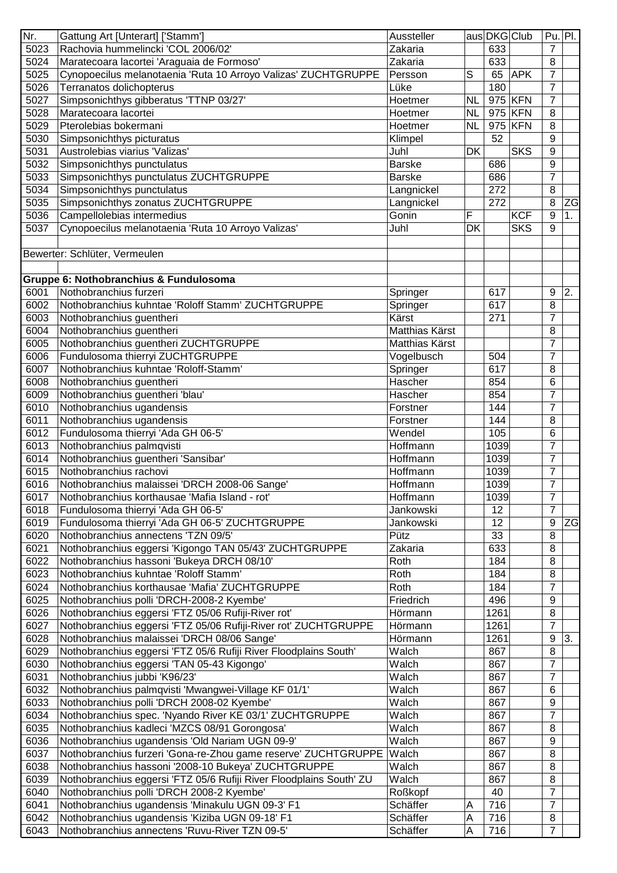| Nr.  | Gattung Art [Unterart] ['Stamm']                                    | Aussteller     |                           | aus DKG Club |            | $Pu.$ Pl.      |           |
|------|---------------------------------------------------------------------|----------------|---------------------------|--------------|------------|----------------|-----------|
| 5023 | Rachovia hummelincki 'COL 2006/02'                                  | Zakaria        |                           | 633          |            | $\overline{7}$ |           |
| 5024 | Maratecoara lacortei 'Araguaia de Formoso'                          | Zakaria        |                           | 633          |            | 8              |           |
| 5025 | Cynopoecilus melanotaenia 'Ruta 10 Arroyo Valizas' ZUCHTGRUPPE      | Persson        | S                         | 65           | <b>APK</b> | $\overline{7}$ |           |
| 5026 | Terranatos dolichopterus                                            | Lüke           |                           | 180          |            | $\overline{7}$ |           |
| 5027 | Simpsonichthys gibberatus 'TTNP 03/27'                              | Hoetmer        | <b>NL</b>                 |              | 975 KFN    | $\overline{7}$ |           |
| 5028 | Maratecoara lacortei                                                | Hoetmer        | <b>NL</b>                 |              | 975 KFN    | 8              |           |
| 5029 | Pterolebias bokermani                                               | Hoetmer        | <b>NL</b>                 |              | 975 KFN    | 8              |           |
| 5030 | Simpsonichthys picturatus                                           | Klimpel        |                           | 52           |            | 9              |           |
| 5031 | Austrolebias viarius 'Valizas'                                      | Juhl           | DK                        |              | <b>SKS</b> | 9              |           |
| 5032 | Simpsonichthys punctulatus                                          | <b>Barske</b>  |                           | 686          |            | 9              |           |
| 5033 | Simpsonichthys punctulatus ZUCHTGRUPPE                              | <b>Barske</b>  |                           | 686          |            | $\overline{7}$ |           |
| 5034 | Simpsonichthys punctulatus                                          | Langnickel     |                           | 272          |            | 8              |           |
| 5035 | Simpsonichthys zonatus ZUCHTGRUPPE                                  | Langnickel     |                           | 272          |            | 8              | <b>ZG</b> |
| 5036 | Campellolebias intermedius                                          | Gonin          | F                         |              | <b>KCF</b> | 9              | 1.        |
| 5037 | Cynopoecilus melanotaenia 'Ruta 10 Arroyo Valizas'                  | Juhl           | <b>DK</b>                 |              | <b>SKS</b> | 9              |           |
|      |                                                                     |                |                           |              |            |                |           |
|      | Bewerter: Schlüter, Vermeulen                                       |                |                           |              |            |                |           |
|      |                                                                     |                |                           |              |            |                |           |
|      | Gruppe 6: Nothobranchius & Fundulosoma                              |                |                           |              |            |                |           |
| 6001 | Nothobranchius furzeri                                              |                |                           | 617          |            |                | 2.        |
| 6002 | Nothobranchius kuhntae 'Roloff Stamm' ZUCHTGRUPPE                   | Springer       |                           | 617          |            | 9<br>8         |           |
|      |                                                                     | Springer       |                           |              |            |                |           |
| 6003 | Nothobranchius guentheri                                            | Kärst          |                           | 271          |            | $\overline{7}$ |           |
| 6004 | Nothobranchius guentheri                                            | Matthias Kärst |                           |              |            | 8              |           |
| 6005 | Nothobranchius guentheri ZUCHTGRUPPE                                | Matthias Kärst |                           |              |            | 7              |           |
| 6006 | Fundulosoma thierryi ZUCHTGRUPPE                                    | Vogelbusch     |                           | 504          |            | 7              |           |
| 6007 | Nothobranchius kuhntae 'Roloff-Stamm'                               | Springer       |                           | 617          |            | 8              |           |
| 6008 | Nothobranchius guentheri                                            | Hascher        |                           | 854          |            | 6              |           |
| 6009 | Nothobranchius guentheri 'blau'                                     | Hascher        |                           | 854          |            | $\overline{7}$ |           |
| 6010 | Nothobranchius ugandensis                                           | Forstner       |                           | 144          |            | $\overline{7}$ |           |
| 6011 | Nothobranchius ugandensis                                           | Forstner       |                           | 144          |            | 8              |           |
| 6012 | Fundulosoma thierryi 'Ada GH 06-5'                                  | Wendel         |                           | 105          |            | 6              |           |
| 6013 | Nothobranchius palmqvisti                                           | Hoffmann       |                           | 1039         |            | $\overline{7}$ |           |
| 6014 | Nothobranchius guentheri 'Sansibar'                                 | Hoffmann       |                           | 1039         |            | $\overline{7}$ |           |
| 6015 | Nothobranchius rachovi                                              | Hoffmann       |                           | 1039         |            | $\overline{7}$ |           |
| 6016 | Nothobranchius malaissei 'DRCH 2008-06 Sange'                       | Hoffmann       |                           | 1039         |            | $\overline{7}$ |           |
| 6017 | Nothobranchius korthausae 'Mafia Island - rot'                      | Hoffmann       |                           | 1039         |            | $\overline{7}$ |           |
| 6018 | Fundulosoma thierryi 'Ada GH 06-5'                                  | Jankowski      |                           | 12           |            | $\overline{7}$ |           |
| 6019 | Fundulosoma thierryi 'Ada GH 06-5' ZUCHTGRUPPE                      | Jankowski      |                           | 12           |            | 9              | <b>ZG</b> |
| 6020 | Nothobranchius annectens 'TZN 09/5'                                 | Pütz           |                           | 33           |            | 8              |           |
| 6021 | Nothobranchius eggersi 'Kigongo TAN 05/43' ZUCHTGRUPPE              | Zakaria        |                           | 633          |            | 8              |           |
| 6022 | Nothobranchius hassoni 'Bukeya DRCH 08/10'                          | Roth           |                           | 184          |            | 8              |           |
| 6023 | Nothobranchius kuhntae 'Roloff Stamm'                               | Roth           |                           | 184          |            | 8              |           |
| 6024 | Nothobranchius korthausae 'Mafia' ZUCHTGRUPPE                       | Roth           |                           | 184          |            | $\overline{7}$ |           |
| 6025 | Nothobranchius polli 'DRCH-2008-2 Kyembe'                           | Friedrich      |                           | 496          |            | 9              |           |
| 6026 | Nothobranchius eggersi 'FTZ 05/06 Rufiji-River rot'                 | Hörmann        |                           | 1261         |            | 8              |           |
| 6027 | Nothobranchius eggersi 'FTZ 05/06 Rufiji-River rot' ZUCHTGRUPPE     | Hörmann        |                           | 1261         |            | $\overline{7}$ |           |
| 6028 | Nothobranchius malaissei 'DRCH 08/06 Sange'                         | Hörmann        |                           | 1261         |            | 9              | 3.        |
| 6029 | Nothobranchius eggersi 'FTZ 05/6 Rufiji River Floodplains South'    | Walch          |                           | 867          |            | 8              |           |
| 6030 | Nothobranchius eggersi 'TAN 05-43 Kigongo'                          | Walch          |                           | 867          |            | $\overline{7}$ |           |
| 6031 | Nothobranchius jubbi 'K96/23'                                       | Walch          |                           | 867          |            | $\overline{7}$ |           |
| 6032 | Nothobranchius palmqvisti 'Mwangwei-Village KF 01/1'                | Walch          |                           | 867          |            | 6              |           |
| 6033 | Nothobranchius polli 'DRCH 2008-02 Kyembe'                          | Walch          |                           | 867          |            | 9              |           |
| 6034 |                                                                     | Walch          |                           | 867          |            | $\overline{7}$ |           |
| 6035 | Nothobranchius spec. 'Nyando River KE 03/1' ZUCHTGRUPPE             | Walch          |                           | 867          |            | 8              |           |
|      | Nothobranchius kadleci 'MZCS 08/91 Gorongosa'                       |                |                           |              |            |                |           |
| 6036 | Nothobranchius ugandensis 'Old Nariam UGN 09-9'                     | Walch          |                           | 867          |            | 9              |           |
| 6037 | Nothobranchius furzeri 'Gona-re-Zhou game reserve' ZUCHTGRUPPE      | Walch          |                           | 867          |            | 8              |           |
| 6038 | Nothobranchius hassoni '2008-10 Bukeya' ZUCHTGRUPPE                 | Walch          |                           | 867          |            | 8              |           |
| 6039 | Nothobranchius eggersi 'FTZ 05/6 Rufiji River Floodplains South' ZU | Walch          |                           | 867          |            | 8              |           |
| 6040 | Nothobranchius polli 'DRCH 2008-2 Kyembe'                           | Roßkopf        |                           | 40           |            | 7              |           |
| 6041 | Nothobranchius ugandensis 'Minakulu UGN 09-3' F1                    | Schäffer       | A                         | 716          |            | $\overline{7}$ |           |
| 6042 | Nothobranchius ugandensis 'Kiziba UGN 09-18' F1                     | Schäffer       | $\boldsymbol{\mathsf{A}}$ | 716          |            | 8              |           |
| 6043 | Nothobranchius annectens 'Ruvu-River TZN 09-5'                      | Schäffer       | $\overline{A}$            | 716          |            | $\overline{7}$ |           |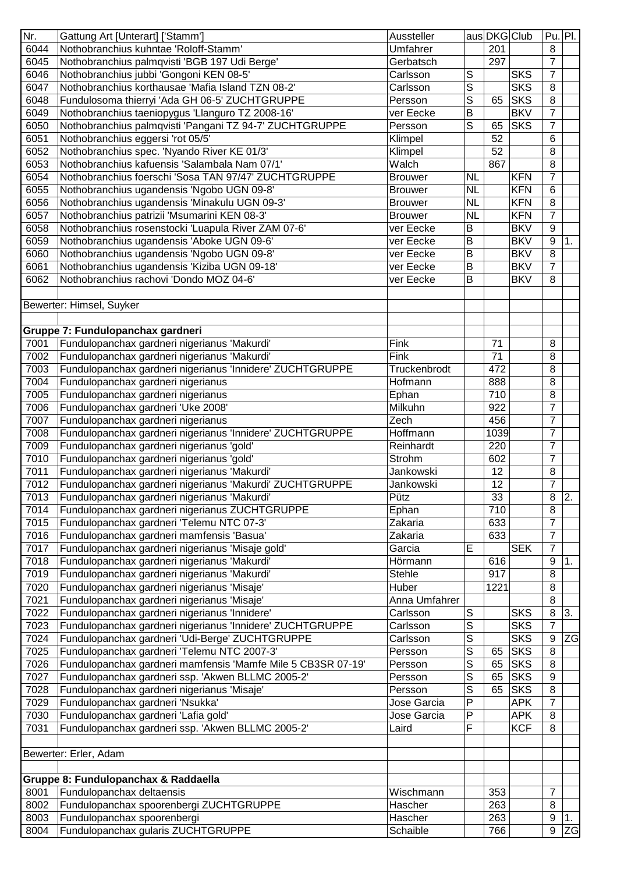| Nr.          | Gattung Art [Unterart] ['Stamm']                                                                           | Aussteller           |                            | aus DKG Club |                          | $Pu.$ Pl.           |           |
|--------------|------------------------------------------------------------------------------------------------------------|----------------------|----------------------------|--------------|--------------------------|---------------------|-----------|
| 6044         | Nothobranchius kuhntae 'Roloff-Stamm'                                                                      | Umfahrer             |                            | 201          |                          | 8                   |           |
| 6045         | Nothobranchius palmqvisti 'BGB 197 Udi Berge'                                                              | Gerbatsch            |                            | 297          |                          | $\overline{7}$      |           |
| 6046         | Nothobranchius jubbi 'Gongoni KEN 08-5'                                                                    | Carlsson             | S                          |              | <b>SKS</b>               | $\overline{7}$      |           |
| 6047         | Nothobranchius korthausae 'Mafia Island TZN 08-2'                                                          | Carlsson             | S                          |              | <b>SKS</b>               | 8                   |           |
| 6048         | Fundulosoma thierryi 'Ada GH 06-5' ZUCHTGRUPPE                                                             | Persson              | S                          | 65           | SKS                      | 8                   |           |
| 6049         | Nothobranchius taeniopygus 'Llanguro TZ 2008-16'                                                           | ver Eecke            | B                          |              | <b>BKV</b>               | $\overline{7}$      |           |
| 6050         | Nothobranchius palmqvisti 'Pangani TZ 94-7' ZUCHTGRUPPE                                                    | Persson              | S                          | 65           | <b>SKS</b>               | $\overline{7}$      |           |
| 6051         | Nothobranchius eggersi 'rot 05/5'                                                                          | Klimpel              |                            | 52           |                          | 6                   |           |
| 6052         | Nothobranchius spec. 'Nyando River KE 01/3'                                                                | Klimpel              |                            | 52           |                          | 8                   |           |
| 6053         | Nothobranchius kafuensis 'Salambala Nam 07/1'                                                              | Walch                |                            | 867          |                          | 8                   |           |
| 6054         | Nothobranchius foerschi 'Sosa TAN 97/47' ZUCHTGRUPPE                                                       | <b>Brouwer</b>       | <b>NL</b>                  |              | <b>KFN</b>               | $\overline{7}$      |           |
| 6055         | Nothobranchius ugandensis 'Ngobo UGN 09-8'                                                                 | <b>Brouwer</b>       | <b>NL</b>                  |              | <b>KFN</b>               | 6                   |           |
| 6056         | Nothobranchius ugandensis 'Minakulu UGN 09-3'                                                              | <b>Brouwer</b>       | <b>NL</b>                  |              | <b>KFN</b>               | 8                   |           |
| 6057         | Nothobranchius patrizii 'Msumarini KEN 08-3'                                                               | <b>Brouwer</b>       | <b>NL</b>                  |              | <b>KFN</b>               | $\overline{7}$      |           |
| 6058         | Nothobranchius rosenstocki 'Luapula River ZAM 07-6'                                                        | ver Eecke            | $\mathsf B$                |              | <b>BKV</b>               | 9                   |           |
| 6059         | Nothobranchius ugandensis 'Aboke UGN 09-6'                                                                 | ver Eecke            | B                          |              | <b>BKV</b>               | 9                   | 1.        |
| 6060         | Nothobranchius ugandensis 'Ngobo UGN 09-8'                                                                 | ver Eecke            | $\sf B$                    |              | <b>BKV</b>               | 8                   |           |
| 6061         | Nothobranchius ugandensis 'Kiziba UGN 09-18'                                                               | ver Eecke            | B                          |              | <b>BKV</b>               | $\overline{7}$      |           |
| 6062         | Nothobranchius rachovi 'Dondo MOZ 04-6'                                                                    | ver Eecke            | B                          |              | <b>BKV</b>               | 8                   |           |
|              |                                                                                                            |                      |                            |              |                          |                     |           |
|              | Bewerter: Himsel, Suyker                                                                                   |                      |                            |              |                          |                     |           |
|              |                                                                                                            |                      |                            |              |                          |                     |           |
|              | Gruppe 7: Fundulopanchax gardneri                                                                          |                      |                            |              |                          |                     |           |
| 7001         | Fundulopanchax gardneri nigerianus 'Makurdi'                                                               | Fink                 |                            | 71           |                          | 8                   |           |
| 7002         | Fundulopanchax gardneri nigerianus 'Makurdi'                                                               | Fink                 |                            | 71           |                          | 8                   |           |
| 7003         | Fundulopanchax gardneri nigerianus 'Innidere' ZUCHTGRUPPE                                                  | Truckenbrodt         |                            | 472          |                          | 8                   |           |
| 7004         | Fundulopanchax gardneri nigerianus                                                                         | Hofmann              |                            | 888          |                          | 8                   |           |
| 7005         | Fundulopanchax gardneri nigerianus                                                                         | Ephan                |                            | 710          |                          | 8                   |           |
| 7006         | Fundulopanchax gardneri 'Uke 2008'                                                                         | Milkuhn              |                            | 922          |                          | $\overline{7}$      |           |
| 7007         | Fundulopanchax gardneri nigerianus                                                                         | Zech                 |                            | 456          |                          | $\overline{7}$      |           |
| 7008         | Fundulopanchax gardneri nigerianus 'Innidere' ZUCHTGRUPPE                                                  | Hoffmann             |                            | 1039         |                          | $\overline{7}$      |           |
| 7009         | Fundulopanchax gardneri nigerianus 'gold'                                                                  | Reinhardt            |                            | 220          |                          | $\overline{7}$      |           |
| 7010         | Fundulopanchax gardneri nigerianus 'gold'                                                                  | Strohm               |                            | 602          |                          | $\overline{7}$      |           |
| 7011         | Fundulopanchax gardneri nigerianus 'Makurdi'                                                               | Jankowski            |                            | 12           |                          | 8                   |           |
| 7012         | Fundulopanchax gardneri nigerianus 'Makurdi' ZUCHTGRUPPE                                                   | Jankowski            |                            | 12           |                          | $\overline{7}$      |           |
| 7013         | Fundulopanchax gardneri nigerianus 'Makurdi'                                                               | Pütz                 |                            | 33           |                          | $\bf 8$             | 2.        |
| 7014         | Fundulopanchax gardneri nigerianus ZUCHTGRUPPE                                                             | Ephan                |                            | 710          |                          | 8                   |           |
| 7015         | Fundulopanchax gardneri 'Telemu NTC 07-3'                                                                  | Zakaria              |                            | 633          |                          | $\overline{7}$      |           |
| 7016         | Fundulopanchax gardneri mamfensis 'Basua'                                                                  | Zakaria              |                            | 633          |                          | $\overline{7}$      |           |
| 7017         | Fundulopanchax gardneri nigerianus 'Misaje gold'                                                           | Garcia               | E                          |              | <b>SEK</b>               | 7                   |           |
| 7018         | Fundulopanchax gardneri nigerianus 'Makurdi'                                                               | Hörmann              |                            | 616          |                          | 9                   | 1.        |
| 7019         | Fundulopanchax gardneri nigerianus 'Makurdi'                                                               | <b>Stehle</b>        |                            | 917          |                          | 8                   |           |
| 7020         | Fundulopanchax gardneri nigerianus 'Misaje'                                                                | Huber                |                            | 1221         |                          | 8                   |           |
|              |                                                                                                            | Anna Umfahrer        |                            |              |                          |                     |           |
| 7021         | Fundulopanchax gardneri nigerianus 'Misaje'                                                                |                      |                            |              |                          | 8                   |           |
| 7022<br>7023 | Fundulopanchax gardneri nigerianus 'Innidere'<br>Fundulopanchax gardneri nigerianus 'Innidere' ZUCHTGRUPPE | Carlsson<br>Carlsson | $\mathbb S$<br>$\mathsf S$ |              | <b>SKS</b><br><b>SKS</b> | 8<br>$\overline{7}$ | 3.        |
|              |                                                                                                            |                      |                            |              |                          |                     |           |
| 7024         | Fundulopanchax gardneri 'Udi-Berge' ZUCHTGRUPPE                                                            | Carlsson             | $\mathbf S$                |              | <b>SKS</b>               | $\boldsymbol{9}$    | ZG        |
| 7025         | Fundulopanchax gardneri 'Telemu NTC 2007-3'                                                                | Persson              | S                          | 65           | <b>SKS</b>               | 8                   |           |
| 7026         | Fundulopanchax gardneri mamfensis 'Mamfe Mile 5 CB3SR 07-19'                                               | Persson              | S                          | 65           | SKS                      | 8                   |           |
| 7027         | Fundulopanchax gardneri ssp. 'Akwen BLLMC 2005-2'                                                          | Persson              | S                          | 65           | <b>SKS</b>               | $\boldsymbol{9}$    |           |
| 7028         | Fundulopanchax gardneri nigerianus 'Misaje'                                                                | Persson              | S                          | 65           | <b>SKS</b>               | 8                   |           |
| 7029         | Fundulopanchax gardneri 'Nsukka'                                                                           | Jose Garcia          | $\mathsf{P}$               |              | <b>APK</b>               | $\overline{7}$      |           |
| 7030         | Fundulopanchax gardneri 'Lafia gold'                                                                       | Jose Garcia          | P                          |              | <b>APK</b>               | 8                   |           |
| 7031         | Fundulopanchax gardneri ssp. 'Akwen BLLMC 2005-2'                                                          | Laird                | F                          |              | KCF                      | 8                   |           |
|              |                                                                                                            |                      |                            |              |                          |                     |           |
|              | Bewerter: Erler, Adam                                                                                      |                      |                            |              |                          |                     |           |
|              |                                                                                                            |                      |                            |              |                          |                     |           |
|              | Gruppe 8: Fundulopanchax & Raddaella                                                                       |                      |                            |              |                          |                     |           |
| 8001         | Fundulopanchax deltaensis                                                                                  | Wischmann            |                            | 353          |                          | 7                   |           |
| 8002         | Fundulopanchax spoorenbergi ZUCHTGRUPPE                                                                    | Hascher              |                            | 263          |                          | 8                   |           |
| 8003         | Fundulopanchax spoorenbergi                                                                                | Hascher              |                            | 263          |                          | 9                   | 1.        |
| 8004         | Fundulopanchax gularis ZUCHTGRUPPE                                                                         | Schaible             |                            | 766          |                          | $\overline{9}$      | <b>ZG</b> |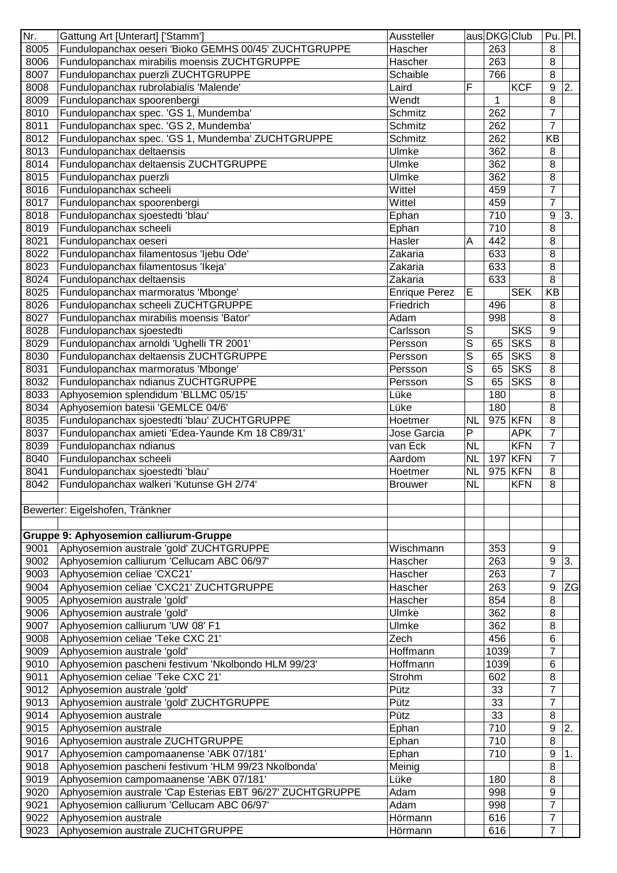| Nr.  | Gattung Art [Unterart] ['Stamm']                          | Aussteller           |              | aus DKG Club     |            | $Pu.$ Pl.      |    |
|------|-----------------------------------------------------------|----------------------|--------------|------------------|------------|----------------|----|
| 8005 | Fundulopanchax oeseri 'Bioko GEMHS 00/45' ZUCHTGRUPPE     | Hascher              |              | 263              |            | 8              |    |
| 8006 | Fundulopanchax mirabilis moensis ZUCHTGRUPPE              | Hascher              |              | 263              |            | 8              |    |
| 8007 | Fundulopanchax puerzli ZUCHTGRUPPE                        | Schaible             |              | 766              |            | 8              |    |
| 8008 | Fundulopanchax rubrolabialis 'Malende'                    | Laird                | F            |                  | <b>KCF</b> | 9              | 2. |
| 8009 | Fundulopanchax spoorenbergi                               | Wendt                |              | 1                |            | 8              |    |
| 8010 | Fundulopanchax spec. 'GS 1, Mundemba'                     | <b>Schmitz</b>       |              | 262              |            | $\overline{7}$ |    |
| 8011 | Fundulopanchax spec. 'GS 2, Mundemba'                     | Schmitz              |              | 262              |            | 7              |    |
| 8012 | Fundulopanchax spec. 'GS 1, Mundemba' ZUCHTGRUPPE         | <b>Schmitz</b>       |              | 262              |            | <b>KB</b>      |    |
| 8013 | Fundulopanchax deltaensis                                 | Ulmke                |              | 362              |            | 8              |    |
| 8014 | Fundulopanchax deltaensis ZUCHTGRUPPE                     | Ulmke                |              | 362              |            | 8              |    |
| 8015 | Fundulopanchax puerzli                                    | Ulmke                |              | 362              |            | 8              |    |
| 8016 | Fundulopanchax scheeli                                    | Wittel               |              | 459              |            | $\overline{7}$ |    |
| 8017 | Fundulopanchax spoorenbergi                               | Wittel               |              | 459              |            | $\overline{7}$ |    |
| 8018 | Fundulopanchax sjoestedti 'blau'                          | Ephan                |              | 710              |            | 9              | 3. |
| 8019 | Fundulopanchax scheeli                                    | Ephan                |              | 710              |            | 8              |    |
|      |                                                           | Hasler               | A            | 442              |            | 8              |    |
| 8021 | Fundulopanchax oeseri                                     |                      |              |                  |            |                |    |
| 8022 | Fundulopanchax filamentosus 'ljebu Ode'                   | Zakaria              |              | 633              |            | 8              |    |
| 8023 | Fundulopanchax filamentosus 'Ikeja'                       | Zakaria              |              | 633              |            | 8              |    |
| 8024 | Fundulopanchax deltaensis                                 | Zakaria              |              | 633              |            | 8              |    |
| 8025 | Fundulopanchax marmoratus 'Mbonge'                        | <b>Enrique Perez</b> | E            |                  | <b>SEK</b> | <b>KB</b>      |    |
| 8026 | Fundulopanchax scheeli ZUCHTGRUPPE                        | Friedrich            |              | 496              |            | 8              |    |
| 8027 | Fundulopanchax mirabilis moensis 'Bator'                  | Adam                 |              | 998              |            | 8              |    |
| 8028 | Fundulopanchax sjoestedti                                 | Carlsson             | S            |                  | <b>SKS</b> | 9              |    |
| 8029 | Fundulopanchax arnoldi 'Ughelli TR 2001'                  | Persson              | S            | 65               | <b>SKS</b> | 8              |    |
| 8030 | Fundulopanchax deltaensis ZUCHTGRUPPE                     | Persson              | S            | 65               | <b>SKS</b> | 8              |    |
| 8031 | Fundulopanchax marmoratus 'Mbonge'                        | Persson              | S            | 65               | <b>SKS</b> | 8              |    |
| 8032 | Fundulopanchax ndianus ZUCHTGRUPPE                        | Persson              | S            | 65               | <b>SKS</b> | 8              |    |
| 8033 | Aphyosemion splendidum 'BLLMC 05/15'                      | Lüke                 |              | 180              |            | 8              |    |
| 8034 | Aphyosemion batesii 'GEMLCE 04/6'                         | Lüke                 |              | 180              |            | 8              |    |
| 8035 | Fundulopanchax sjoestedti 'blau' ZUCHTGRUPPE              | Hoetmer              | <b>NL</b>    | $\overline{975}$ | KFN        | 8              |    |
| 8037 | Fundulopanchax amieti 'Edea-Yaunde Km 18 C89/31'          | Jose Garcia          | $\mathsf{P}$ |                  | <b>APK</b> | $\overline{7}$ |    |
| 8039 | Fundulopanchax ndianus                                    | van Eck              | <b>NL</b>    |                  | <b>KFN</b> | $\overline{7}$ |    |
| 8040 | Fundulopanchax scheeli                                    | Aardom               | <b>NL</b>    | 197              | <b>KFN</b> | $\overline{7}$ |    |
| 8041 | Fundulopanchax sjoestedti 'blau'                          | Hoetmer              | <b>NL</b>    | 975              | <b>KFN</b> | 8              |    |
| 8042 | Fundulopanchax walkeri 'Kutunse GH 2/74'                  | <b>Brouwer</b>       | <b>NL</b>    |                  | <b>KFN</b> | 8              |    |
|      |                                                           |                      |              |                  |            |                |    |
|      | Bewerter: Eigelshofen, Tränkner                           |                      |              |                  |            |                |    |
|      |                                                           |                      |              |                  |            |                |    |
|      | <b>Gruppe 9: Aphyosemion calliurum-Gruppe</b>             |                      |              |                  |            |                |    |
|      |                                                           | Wischmann            |              | 353              |            |                |    |
| 9001 | Aphyosemion australe 'gold' ZUCHTGRUPPE                   |                      |              |                  |            | 9              |    |
| 9002 | Aphyosemion calliurum 'Cellucam ABC 06/97'                | Hascher              |              | 263              |            | 9              | 3. |
| 9003 | Aphyosemion celiae 'CXC21'                                | Hascher              |              | 263              |            | $\overline{7}$ |    |
| 9004 | Aphyosemion celiae 'CXC21' ZUCHTGRUPPE                    | Hascher              |              | 263              |            | 9              | ZG |
| 9005 | Aphyosemion australe 'gold'                               | Hascher              |              | 854              |            | 8              |    |
| 9006 | Aphyosemion australe 'gold'                               | Ulmke                |              | 362              |            | 8              |    |
| 9007 | Aphyosemion calliurum 'UW 08' F1                          | Ulmke                |              | 362              |            | 8              |    |
| 9008 | Aphyosemion celiae 'Teke CXC 21'                          | Zech                 |              | 456              |            | 6              |    |
| 9009 | Aphyosemion australe 'gold'                               | Hoffmann             |              | 1039             |            | $\overline{7}$ |    |
| 9010 | Aphyosemion pascheni festivum 'Nkolbondo HLM 99/23'       | Hoffmann             |              | 1039             |            | 6              |    |
| 9011 | Aphyosemion celiae 'Teke CXC 21'                          | Strohm               |              | 602              |            | 8              |    |
| 9012 | Aphyosemion australe 'gold'                               | Pütz                 |              | 33               |            | $\overline{7}$ |    |
| 9013 | Aphyosemion australe 'gold' ZUCHTGRUPPE                   | Pütz                 |              | 33               |            | $\overline{7}$ |    |
| 9014 | Aphyosemion australe                                      | Pütz                 |              | 33               |            | 8              |    |
| 9015 | Aphyosemion australe                                      | Ephan                |              | 710              |            | 9              | 2. |
| 9016 | Aphyosemion australe ZUCHTGRUPPE                          | Ephan                |              | 710              |            | 8              |    |
| 9017 | Aphyosemion campomaanense 'ABK 07/181'                    | Ephan                |              | 710              |            | 9              | 1. |
| 9018 | Aphyosemion pascheni festivum 'HLM 99/23 Nkolbonda'       | Meinig               |              |                  |            | 8              |    |
| 9019 | Aphyosemion campomaanense 'ABK 07/181'                    | Lüke                 |              | 180              |            | 8              |    |
| 9020 | Aphyosemion australe 'Cap Esterias EBT 96/27' ZUCHTGRUPPE | Adam                 |              | 998              |            | 9              |    |
| 9021 | Aphyosemion calliurum 'Cellucam ABC 06/97'                | Adam                 |              | 998              |            | $\overline{7}$ |    |
| 9022 | Aphyosemion australe                                      | Hörmann              |              | 616              |            | $\overline{7}$ |    |
|      |                                                           |                      |              |                  |            |                |    |
| 9023 | Aphyosemion australe ZUCHTGRUPPE                          | Hörmann              |              | 616              |            | $\overline{7}$ |    |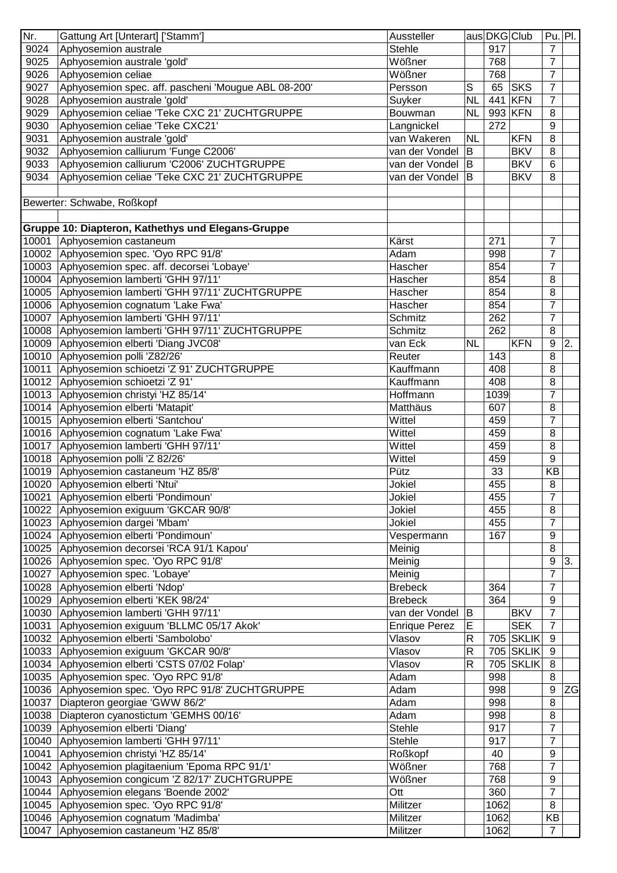| Nr.   | Gattung Art [Unterart] ['Stamm']                    | Aussteller           |              | aus DKG Club |                  | $Pu.$ Pl.      |    |
|-------|-----------------------------------------------------|----------------------|--------------|--------------|------------------|----------------|----|
| 9024  | Aphyosemion australe                                | <b>Stehle</b>        |              | 917          |                  | $\overline{7}$ |    |
| 9025  | Aphyosemion australe 'gold'                         | Wößner               |              | 768          |                  | $\overline{7}$ |    |
| 9026  | Aphyosemion celiae                                  | Wößner               |              | 768          |                  | $\overline{7}$ |    |
| 9027  | Aphyosemion spec. aff. pascheni 'Mougue ABL 08-200' | Persson              | $\mathsf S$  | 65           | <b>SKS</b>       | $\overline{7}$ |    |
| 9028  | Aphyosemion australe 'gold'                         | Suyker               | <b>NL</b>    |              | 441 KFN          | $\overline{7}$ |    |
| 9029  | Aphyosemion celiae 'Teke CXC 21' ZUCHTGRUPPE        | Bouwman              | <b>NL</b>    |              | 993 KFN          | 8              |    |
| 9030  | Aphyosemion celiae 'Teke CXC21'                     | Langnickel           |              | 272          |                  | 9              |    |
| 9031  | Aphyosemion australe 'gold'                         | van Wakeren          | <b>NL</b>    |              | <b>KFN</b>       | 8              |    |
| 9032  | Aphyosemion calliurum 'Funge C2006'                 | van der Vondel       | B            |              | <b>BKV</b>       | 8              |    |
| 9033  | Aphyosemion calliurum 'C2006' ZUCHTGRUPPE           | van der Vondel       | <b>B</b>     |              | <b>BKV</b>       | 6              |    |
| 9034  | Aphyosemion celiae 'Teke CXC 21' ZUCHTGRUPPE        | van der Vondel       | B            |              | <b>BKV</b>       | 8              |    |
|       |                                                     |                      |              |              |                  |                |    |
|       | Bewerter: Schwabe, Roßkopf                          |                      |              |              |                  |                |    |
|       |                                                     |                      |              |              |                  |                |    |
|       | Gruppe 10: Diapteron, Kathethys und Elegans-Gruppe  |                      |              |              |                  |                |    |
|       | 10001 Aphyosemion castaneum                         | Kärst                |              | 271          |                  | $\overline{7}$ |    |
|       | 10002 Aphyosemion spec. 'Oyo RPC 91/8'              | Adam                 |              | 998          |                  | $\overline{7}$ |    |
|       | 10003 Aphyosemion spec. aff. decorsei 'Lobaye'      | Hascher              |              | 854          |                  | $\overline{7}$ |    |
|       | 10004 Aphyosemion lamberti 'GHH 97/11'              | Hascher              |              | 854          |                  | 8              |    |
|       | 10005 Aphyosemion lamberti 'GHH 97/11' ZUCHTGRUPPE  | Hascher              |              | 854          |                  | 8              |    |
|       | 10006 Aphyosemion cognatum 'Lake Fwa'               | Hascher              |              | 854          |                  | $\overline{7}$ |    |
|       | 10007 Aphyosemion lamberti 'GHH 97/11'              | Schmitz              |              | 262          |                  | 7              |    |
|       | 10008 Aphyosemion lamberti 'GHH 97/11' ZUCHTGRUPPE  |                      |              | 262          |                  | 8              |    |
|       |                                                     | Schmitz              |              |              |                  |                |    |
|       | 10009 Aphyosemion elberti 'Diang JVC08'             | van Eck              | <b>NL</b>    |              | <b>KFN</b>       | 9              | 2. |
|       | 10010 Aphyosemion polli 'Z82/26'                    | Reuter               |              | 143          |                  | 8              |    |
|       | 10011 Aphyosemion schioetzi 'Z 91' ZUCHTGRUPPE      | Kauffmann            |              | 408          |                  | 8              |    |
|       | 10012 Aphyosemion schioetzi 'Z 91'                  | Kauffmann            |              | 408          |                  | 8              |    |
|       | 10013 Aphyosemion christyi 'HZ 85/14'               | Hoffmann             |              | 1039         |                  | 7              |    |
|       | 10014 Aphyosemion elberti 'Matapit'                 | Matthäus             |              | 607          |                  | 8              |    |
|       | 10015 Aphyosemion elberti 'Santchou'                | Wittel               |              | 459          |                  | $\overline{7}$ |    |
|       | 10016 Aphyosemion cognatum 'Lake Fwa'               | Wittel               |              | 459          |                  | 8              |    |
|       | 10017 Aphyosemion lamberti 'GHH 97/11'              | Wittel               |              | 459          |                  | 8              |    |
|       | 10018 Aphyosemion polli 'Z 82/26'                   | Wittel               |              | 459          |                  | 9              |    |
|       | 10019 Aphyosemion castaneum 'HZ 85/8'               | Pütz                 |              | 33           |                  | <b>KB</b>      |    |
|       | 10020 Aphyosemion elberti 'Ntui'                    | Jokiel               |              | 455          |                  | 8              |    |
|       | 10021 Aphyosemion elberti 'Pondimoun'               | Jokiel               |              | 455          |                  | T              |    |
|       | 10022 Aphyosemion exiguum 'GKCAR 90/8'              | Jokiel               |              | 455          |                  | 8              |    |
|       | 10023 Aphyosemion dargei 'Mbam'                     | Jokiel               |              | 455          |                  | 7              |    |
|       | 10024 Aphyosemion elberti 'Pondimoun'               | Vespermann           |              | 167          |                  | 9              |    |
|       | 10025 Aphyosemion decorsei 'RCA 91/1 Kapou'         | Meinig               |              |              |                  | 8              |    |
|       | 10026 Aphyosemion spec. 'Oyo RPC 91/8'              | Meinig               |              |              |                  | 9              | 3. |
|       | 10027 Aphyosemion spec. 'Lobaye'                    | Meinig               |              |              |                  | $\overline{7}$ |    |
|       | 10028 Aphyosemion elberti 'Ndop'                    | <b>Brebeck</b>       |              | 364          |                  | $\overline{7}$ |    |
|       | 10029 Aphyosemion elberti 'KEK 98/24'               | <b>Brebeck</b>       |              | 364          |                  | 9              |    |
|       | 10030 Aphyosemion lamberti 'GHH 97/11'              | van der Vondel       | B            |              | <b>BKV</b>       | $\overline{7}$ |    |
|       | 10031 Aphyosemion exiguum 'BLLMC 05/17 Akok'        | <b>Enrique Perez</b> | $\mathsf E$  |              | <b>SEK</b>       | $\overline{7}$ |    |
|       | 10032 Aphyosemion elberti 'Sambolobo'               | Vlasov               | $\mathsf R$  |              | 705 SKLIK        | 9              |    |
|       | 10033 Aphyosemion exiguum 'GKCAR 90/8'              | Vlasov               | $\mathsf R$  |              | <b>705 SKLIK</b> | 9              |    |
|       | 10034 Aphyosemion elberti 'CSTS 07/02 Folap'        | Vlasov               | $\mathsf{R}$ |              | <b>705 SKLIK</b> | 8              |    |
|       | 10035 Aphyosemion spec. 'Oyo RPC 91/8'              | Adam                 |              | 998          |                  | 8              |    |
|       | 10036 Aphyosemion spec. 'Oyo RPC 91/8' ZUCHTGRUPPE  | Adam                 |              | 998          |                  | 9              | ZG |
| 10037 | Diapteron georgiae 'GWW 86/2'                       | Adam                 |              | 998          |                  | 8              |    |
| 10038 | Diapteron cyanostictum 'GEMHS 00/16'                | Adam                 |              | 998          |                  | 8              |    |
|       | 10039 Aphyosemion elberti 'Diang'                   | <b>Stehle</b>        |              | 917          |                  | 7              |    |
|       | 10040 Aphyosemion lamberti 'GHH 97/11'              | <b>Stehle</b>        |              | 917          |                  | 7              |    |
|       | 10041 Aphyosemion christyi 'HZ 85/14'               | Roßkopf              |              | 40           |                  | 9              |    |
|       | 10042 Aphyosemion plagitaenium 'Epoma RPC 91/1'     | Wößner               |              | 768          |                  | 7              |    |
|       | 10043 Aphyosemion congicum 'Z 82/17' ZUCHTGRUPPE    | Wößner               |              | 768          |                  | 9              |    |
|       | 10044 Aphyosemion elegans 'Boende 2002'             | Ott                  |              | 360          |                  | $\overline{7}$ |    |
|       | 10045 Aphyosemion spec. 'Oyo RPC 91/8'              | Militzer             |              | 1062         |                  | 8              |    |
|       | 10046 Aphyosemion cognatum 'Madimba'                | Militzer             |              | 1062         |                  | KB             |    |
|       | 10047 Aphyosemion castaneum 'HZ 85/8'               | Militzer             |              | 1062         |                  | $\overline{7}$ |    |
|       |                                                     |                      |              |              |                  |                |    |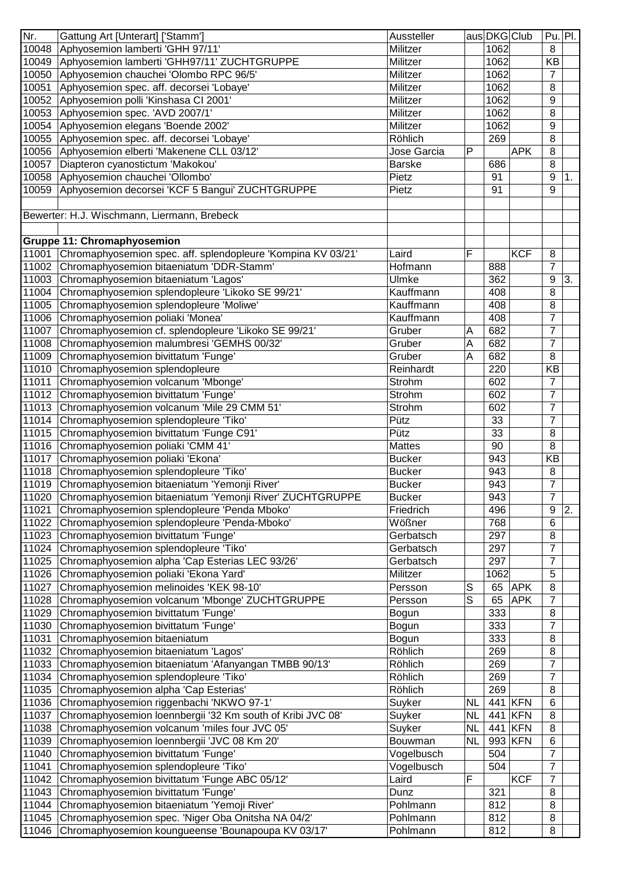| Nr.            | Gattung Art [Unterart] ['Stamm']                                                                  | Aussteller           |           | aus DKG Club |            | $Pu.$ Pl.           |    |
|----------------|---------------------------------------------------------------------------------------------------|----------------------|-----------|--------------|------------|---------------------|----|
|                | 10048 Aphyosemion lamberti 'GHH 97/11'                                                            | Militzer             |           | 1062         |            | 8                   |    |
|                | 10049 Aphyosemion lamberti 'GHH97/11' ZUCHTGRUPPE                                                 | Militzer             |           | 1062         |            | KB                  |    |
|                | 10050 Aphyosemion chauchei 'Olombo RPC 96/5'                                                      | Militzer             |           | 1062         |            | $\overline{7}$      |    |
| 10051          | Aphyosemion spec. aff. decorsei 'Lobaye'                                                          | Militzer             |           | 1062         |            | 8                   |    |
| 10052          | Aphyosemion polli 'Kinshasa CI 2001'                                                              | Militzer             |           | 1062         |            | 9                   |    |
| 10053          | Aphyosemion spec. 'AVD 2007/1'                                                                    | Militzer             |           | 1062         |            | 8                   |    |
| 10054          | Aphyosemion elegans 'Boende 2002'                                                                 | Militzer             |           | 1062         |            | 9                   |    |
|                | 10055 Aphyosemion spec. aff. decorsei 'Lobaye'                                                    | Röhlich              |           | 269          |            | 8                   |    |
|                | 10056 Aphyosemion elberti 'Makenene CLL 03/12'                                                    | Jose Garcia          | P         |              | <b>APK</b> | 8                   |    |
| 10057          | Diapteron cyanostictum 'Makokou'                                                                  | <b>Barske</b>        |           | 686          |            | 8                   |    |
|                | 10058 Aphyosemion chauchei 'Ollombo'                                                              | Pietz                |           | 91           |            | 9                   | 1. |
| 10059          | Aphyosemion decorsei 'KCF 5 Bangui' ZUCHTGRUPPE                                                   | Pietz                |           | 91           |            | 9                   |    |
|                |                                                                                                   |                      |           |              |            |                     |    |
|                | Bewerter: H.J. Wischmann, Liermann, Brebeck                                                       |                      |           |              |            |                     |    |
|                | <b>Gruppe 11: Chromaphyosemion</b>                                                                |                      |           |              |            |                     |    |
|                | 11001 Chromaphyosemion spec. aff. splendopleure 'Kompina KV 03/21'                                | Laird                | F         |              | <b>KCF</b> | 8                   |    |
|                | 11002 Chromaphyosemion bitaeniatum 'DDR-Stamm'                                                    | Hofmann              |           | 888          |            | $\overline{7}$      |    |
| 11003          | Chromaphyosemion bitaeniatum 'Lagos'                                                              | Ulmke                |           | 362          |            | 9                   | 3. |
| 11004          | Chromaphyosemion splendopleure 'Likoko SE 99/21'                                                  | Kauffmann            |           | 408          |            | 8                   |    |
|                | 11005 Chromaphyosemion splendopleure 'Moliwe'                                                     | Kauffmann            |           | 408          |            | 8                   |    |
|                |                                                                                                   | Kauffmann            |           | 408          |            | $\overline{7}$      |    |
| 11007          | 11006 Chromaphyosemion poliaki 'Monea'                                                            | Gruber               |           | 682          |            |                     |    |
|                | Chromaphyosemion cf. splendopleure 'Likoko SE 99/21'                                              |                      | A         |              |            | 7                   |    |
| 11008          | Chromaphyosemion malumbresi 'GEMHS 00/32'                                                         | Gruber               | A         | 682          |            | $\overline{7}$      |    |
|                | 11009 Chromaphyosemion bivittatum 'Funge'                                                         | Gruber               | A         | 682          |            | 8                   |    |
|                | 11010 Chromaphyosemion splendopleure                                                              | Reinhardt            |           | 220          |            | KB                  |    |
| 11011          | Chromaphyosemion volcanum 'Mbonge'                                                                | Strohm               |           | 602          |            | 7                   |    |
| 11012          | Chromaphyosemion bivittatum 'Funge'                                                               | Strohm               |           | 602          |            | $\overline{7}$      |    |
|                | 11013 Chromaphyosemion volcanum 'Mile 29 CMM 51'                                                  | Strohm               |           | 602          |            | $\overline{7}$      |    |
|                | 11014 Chromaphyosemion splendopleure 'Tiko'                                                       | Pütz                 |           | 33           |            | $\overline{7}$      |    |
|                | 11015 Chromaphyosemion bivittatum 'Funge C91'                                                     | Pütz                 |           | 33           |            | 8                   |    |
|                | 11016 Chromaphyosemion poliaki 'CMM 41'                                                           | <b>Mattes</b>        |           | 90           |            | 8                   |    |
|                | 11017 Chromaphyosemion poliaki 'Ekona'                                                            | <b>Bucker</b>        |           | 943          |            | <b>KB</b>           |    |
|                | 11018 Chromaphyosemion splendopleure 'Tiko'                                                       | <b>Bucker</b>        |           | 943          |            | 8                   |    |
|                | 11019 Chromaphyosemion bitaeniatum 'Yemonji River'                                                | <b>Bucker</b>        |           | 943          |            | $\overline{7}$      |    |
|                | 11020 Chromaphyosemion bitaeniatum 'Yemonji River' ZUCHTGRUPPE                                    | <b>Bucker</b>        |           | 943          |            | $\overline{7}$      |    |
| 11021          | Chromaphyosemion splendopleure 'Penda Mboko'                                                      | Friedrich            |           | 496          |            | 9                   | 2. |
| 11022          | Chromaphyosemion splendopleure 'Penda-Mboko'                                                      | Wößner               |           | 768          |            | 6                   |    |
| 11023          | Chromaphyosemion bivittatum 'Funge'                                                               | Gerbatsch            |           | 297          |            | 8                   |    |
| 11024          | Chromaphyosemion splendopleure 'Tiko'                                                             | Gerbatsch            |           | 297          |            | 7                   |    |
| 11025          | Chromaphyosemion alpha 'Cap Esterias LEC 93/26'                                                   | Gerbatsch            |           | 297          |            | 7                   |    |
| 11026          | Chromaphyosemion poliaki 'Ekona Yard'                                                             | Militzer             |           | 1062         |            | 5                   |    |
| 11027          | Chromaphyosemion melinoides 'KEK 98-10'                                                           | Persson              | S         | 65           | <b>APK</b> | 8                   |    |
| 11028          | Chromaphyosemion volcanum 'Mbonge' ZUCHTGRUPPE                                                    | Persson              | S         | 65           | <b>APK</b> | 7                   |    |
| 11029          | Chromaphyosemion bivittatum 'Funge'                                                               | Bogun                |           | 333          |            | 8                   |    |
| 11030          | Chromaphyosemion bivittatum 'Funge'                                                               | Bogun                |           | 333          |            | $\overline{7}$      |    |
| 11031          | Chromaphyosemion bitaeniatum                                                                      | Bogun                |           | 333          |            | 8                   |    |
| 11032          |                                                                                                   |                      |           |              |            | 8                   |    |
|                | Chromaphyosemion bitaeniatum 'Lagos'                                                              | Röhlich              |           | 269          |            |                     |    |
| 11033          | Chromaphyosemion bitaeniatum 'Afanyangan TMBB 90/13'                                              | Röhlich              |           | 269          |            | $\overline{7}$      |    |
| 11034          | Chromaphyosemion splendopleure 'Tiko'                                                             | Röhlich              |           | 269          |            | $\overline{7}$      |    |
| 11035          | Chromaphyosemion alpha 'Cap Esterias'                                                             | Röhlich              |           | 269          |            | 8                   |    |
| 11036          | Chromaphyosemion riggenbachi 'NKWO 97-1'                                                          | Suyker               | <b>NL</b> |              | 441 KFN    | 6                   |    |
| 11037          | Chromaphyosemion loennbergii '32 Km south of Kribi JVC 08'                                        | Suyker               | <b>NL</b> | 441          | <b>KFN</b> | 8                   |    |
| 11038          |                                                                                                   | Suyker               | <b>NL</b> | 441          | <b>KFN</b> | 8                   |    |
| 11039          | Chromaphyosemion volcanum 'miles four JVC 05'                                                     | Bouwman              | <b>NL</b> |              | 993 KFN    | 6                   |    |
| 11040          | Chromaphyosemion loennbergii 'JVC 08 Km 20'                                                       |                      |           | 504          |            | 7                   |    |
|                | Chromaphyosemion bivittatum 'Funge'                                                               | Vogelbusch           |           |              |            |                     |    |
| 11041          | Chromaphyosemion splendopleure 'Tiko'                                                             | Vogelbusch           |           | 504          |            | $\overline{7}$<br>7 |    |
| 11042          | Chromaphyosemion bivittatum 'Funge ABC 05/12'                                                     | Laird                | F         |              | <b>KCF</b> |                     |    |
| 11043          | Chromaphyosemion bivittatum 'Funge'                                                               | Dunz                 |           | 321          |            | 8                   |    |
| 11044<br>11045 | Chromaphyosemion bitaeniatum 'Yemoji River'<br>Chromaphyosemion spec. 'Niger Oba Onitsha NA 04/2' | Pohlmann<br>Pohlmann |           | 812<br>812   |            | 8<br>8              |    |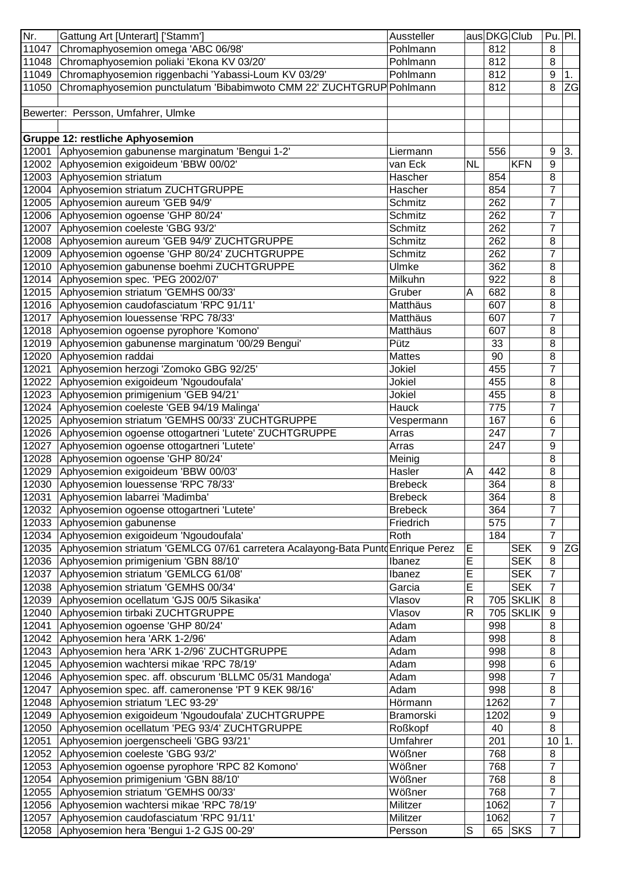| Nr.   | Gattung Art [Unterart] ['Stamm']                                                     | Aussteller     |             | aus DKG Club |                  | $Pu.$ Pl.        |                 |
|-------|--------------------------------------------------------------------------------------|----------------|-------------|--------------|------------------|------------------|-----------------|
| 11047 | Chromaphyosemion omega 'ABC 06/98'                                                   | Pohlmann       |             | 812          |                  | 8                |                 |
|       | 11048 Chromaphyosemion poliaki 'Ekona KV 03/20'                                      | Pohlmann       |             | 812          |                  | 8                |                 |
|       | 11049 Chromaphyosemion riggenbachi 'Yabassi-Loum KV 03/29'                           | Pohlmann       |             | 812          |                  | 9                | 1.              |
| 11050 | Chromaphyosemion punctulatum 'Bibabimwoto CMM 22' ZUCHTGRUP Pohlmann                 |                |             | 812          |                  | 8                | $\overline{ZG}$ |
|       |                                                                                      |                |             |              |                  |                  |                 |
|       | Bewerter: Persson, Umfahrer, Ulmke                                                   |                |             |              |                  |                  |                 |
|       |                                                                                      |                |             |              |                  |                  |                 |
|       |                                                                                      |                |             |              |                  |                  |                 |
|       | <b>Gruppe 12: restliche Aphyosemion</b>                                              |                |             |              |                  |                  |                 |
|       | 12001 Aphyosemion gabunense marginatum 'Bengui 1-2'                                  | Liermann       |             | 556          |                  | 9                | 3.              |
|       | 12002 Aphyosemion exigoideum 'BBW 00/02'                                             | van Eck        | <b>NL</b>   |              | <b>KFN</b>       | 9                |                 |
|       | 12003 Aphyosemion striatum                                                           | Hascher        |             | 854          |                  | 8                |                 |
|       | 12004 Aphyosemion striatum ZUCHTGRUPPE                                               | Hascher        |             | 854          |                  | $\overline{7}$   |                 |
|       | 12005 Aphyosemion aureum 'GEB 94/9'                                                  | Schmitz        |             | 262          |                  | $\overline{7}$   |                 |
|       | 12006 Aphyosemion ogoense 'GHP 80/24'                                                | Schmitz        |             | 262          |                  | $\overline{7}$   |                 |
|       | 12007 Aphyosemion coeleste 'GBG 93/2'                                                | Schmitz        |             | 262          |                  | $\overline{7}$   |                 |
|       | 12008 Aphyosemion aureum 'GEB 94/9' ZUCHTGRUPPE                                      | Schmitz        |             | 262          |                  | 8                |                 |
|       | 12009 Aphyosemion ogoense 'GHP 80/24' ZUCHTGRUPPE                                    | Schmitz        |             | 262          |                  | $\overline{7}$   |                 |
|       | 12010 Aphyosemion gabunense boehmi ZUCHTGRUPPE                                       | Ulmke          |             | 362          |                  | 8                |                 |
|       |                                                                                      |                |             |              |                  |                  |                 |
|       | 12014 Aphyosemion spec. 'PEG 2002/07'                                                | Milkuhn        |             | 922          |                  | 8                |                 |
|       | 12015 Aphyosemion striatum 'GEMHS 00/33'                                             | Gruber         | A           | 682          |                  | 8                |                 |
|       | 12016 Aphyosemion caudofasciatum 'RPC 91/11'                                         | Matthäus       |             | 607          |                  | 8                |                 |
|       | 12017 Aphyosemion louessense 'RPC 78/33'                                             | Matthäus       |             | 607          |                  | $\overline{7}$   |                 |
|       | 12018 Aphyosemion ogoense pyrophore 'Komono'                                         | Matthäus       |             | 607          |                  | 8                |                 |
|       | 12019 Aphyosemion gabunense marginatum '00/29 Bengui'                                | Pütz           |             | 33           |                  | 8                |                 |
|       | 12020 Aphyosemion raddai                                                             | Mattes         |             | 90           |                  | 8                |                 |
|       | 12021 Aphyosemion herzogi 'Zomoko GBG 92/25'                                         | Jokiel         |             | 455          |                  | $\overline{7}$   |                 |
|       | 12022 Aphyosemion exigoideum 'Ngoudoufala'                                           | Jokiel         |             | 455          |                  | 8                |                 |
|       | 12023 Aphyosemion primigenium 'GEB 94/21'                                            | Jokiel         |             | 455          |                  | 8                |                 |
|       |                                                                                      |                |             |              |                  | $\overline{7}$   |                 |
|       | 12024 Aphyosemion coeleste 'GEB 94/19 Malinga'                                       | Hauck          |             | 775          |                  |                  |                 |
|       | 12025 Aphyosemion striatum 'GEMHS 00/33' ZUCHTGRUPPE                                 | Vespermann     |             | 167          |                  | 6                |                 |
|       | 12026 Aphyosemion ogoense ottogartneri 'Lutete' ZUCHTGRUPPE                          | Arras          |             | 247          |                  | $\overline{7}$   |                 |
|       | 12027 Aphyosemion ogoense ottogartneri 'Lutete'                                      | Arras          |             | 247          |                  | 9                |                 |
|       | 12028 Aphyosemion ogoense 'GHP 80/24'                                                | Meinig         |             |              |                  | 8                |                 |
|       | 12029 Aphyosemion exigoideum 'BBW 00/03'                                             | Hasler         | Α           | 442          |                  | 8                |                 |
|       | 12030 Aphyosemion louessense 'RPC 78/33'                                             | <b>Brebeck</b> |             | 364          |                  | 8                |                 |
|       | 12031 Aphyosemion labarrei 'Madimba'                                                 | <b>Brebeck</b> |             | 364          |                  | 8                |                 |
|       | 12032 Aphyosemion ogoense ottogartneri 'Lutete'                                      | <b>Brebeck</b> |             | 364          |                  | $\overline{7}$   |                 |
|       | 12033 Aphyosemion gabunense                                                          | Friedrich      |             | 575          |                  | 7                |                 |
|       | 12034 Aphyosemion exigoideum 'Ngoudoufala'                                           | Roth           |             | 184          |                  | $\overline{7}$   |                 |
|       | 12035 Aphyosemion striatum 'GEMLCG 07/61 carretera Acalayong-Bata PuntdEnrique Perez |                | E           |              | <b>SEK</b>       | 9                | ZG              |
|       | 12036 Aphyosemion primigenium 'GBN 88/10'                                            | Ibanez         | E           |              | <b>SEK</b>       | 8                |                 |
|       | 12037 Aphyosemion striatum 'GEMLCG 61/08'                                            | Ibanez         | Е           |              | <b>SEK</b>       | $\overline{7}$   |                 |
|       | 12038 Aphyosemion striatum 'GEMHS 00/34'                                             | Garcia         | E           |              | <b>SEK</b>       | $\overline{7}$   |                 |
|       | 12039 Aphyosemion ocellatum 'GJS 00/5 Sikasika'                                      | Vlasov         | R           |              | <b>705 SKLIK</b> | 8                |                 |
|       |                                                                                      |                |             |              |                  |                  |                 |
|       | 12040 Aphyosemion tirbaki ZUCHTGRUPPE                                                | Vlasov         | R           |              | <b>705 SKLIK</b> | 9                |                 |
| 12041 | Aphyosemion ogoense 'GHP 80/24'                                                      | Adam           |             | 998          |                  | 8                |                 |
|       | 12042 Aphyosemion hera 'ARK 1-2/96'                                                  | Adam           |             | 998          |                  | 8                |                 |
|       | 12043 Aphyosemion hera 'ARK 1-2/96' ZUCHTGRUPPE                                      | Adam           |             | 998          |                  | 8                |                 |
|       | 12045 Aphyosemion wachtersi mikae 'RPC 78/19'                                        | Adam           |             | 998          |                  | $6\phantom{1}6$  |                 |
|       | 12046 Aphyosemion spec. aff. obscurum 'BLLMC 05/31 Mandoga'                          | Adam           |             | 998          |                  | $\overline{7}$   |                 |
|       | 12047 Aphyosemion spec. aff. cameronense 'PT 9 KEK 98/16'                            | Adam           |             | 998          |                  | 8                |                 |
|       | 12048 Aphyosemion striatum 'LEC 93-29'                                               | Hörmann        |             | 1262         |                  | $\overline{7}$   |                 |
|       | 12049 Aphyosemion exigoideum 'Ngoudoufala' ZUCHTGRUPPE                               | Bramorski      |             | 1202         |                  | $\boldsymbol{9}$ |                 |
|       | 12050 Aphyosemion ocellatum 'PEG 93/4' ZUCHTGRUPPE                                   | Roßkopf        |             | 40           |                  | 8                |                 |
| 12051 | Aphyosemion joergenscheeli 'GBG 93/21'                                               | Umfahrer       |             | 201          |                  | 10 <sup>1</sup>  | 1.              |
|       | 12052 Aphyosemion coeleste 'GBG 93/2'                                                | Wößner         |             | 768          |                  | 8                |                 |
|       |                                                                                      |                |             |              |                  |                  |                 |
|       | 12053 Aphyosemion ogoense pyrophore 'RPC 82 Komono'                                  | Wößner         |             | 768          |                  | $\overline{7}$   |                 |
|       | 12054 Aphyosemion primigenium 'GBN 88/10'                                            | Wößner         |             | 768          |                  | 8                |                 |
|       | 12055 Aphyosemion striatum 'GEMHS 00/33'                                             | Wößner         |             | 768          |                  | $\overline{7}$   |                 |
|       | 12056 Aphyosemion wachtersi mikae 'RPC 78/19'                                        | Militzer       |             | 1062         |                  | $\overline{7}$   |                 |
| 12057 | Aphyosemion caudofasciatum 'RPC 91/11'                                               | Militzer       |             | 1062         |                  | $\overline{7}$   |                 |
| 12058 | Aphyosemion hera 'Bengui 1-2 GJS 00-29'                                              | Persson        | $\mathsf S$ | 65           | <b>SKS</b>       | $\overline{7}$   |                 |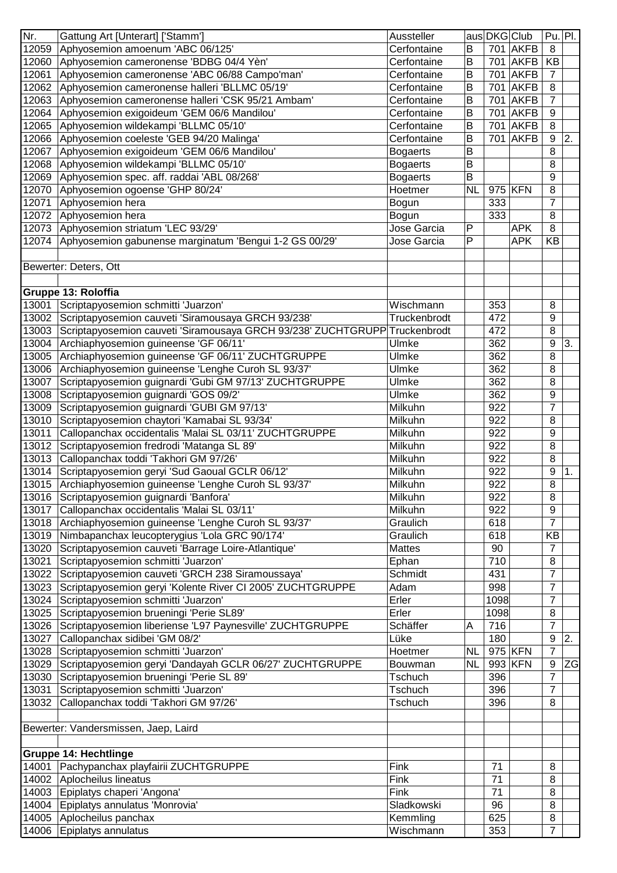| Nr.   | Gattung Art [Unterart] ['Stamm']                                           | Aussteller      |           | aus DKG Club            |             | $Pu.$ Pl.      |           |
|-------|----------------------------------------------------------------------------|-----------------|-----------|-------------------------|-------------|----------------|-----------|
| 12059 | Aphyosemion amoenum 'ABC 06/125'                                           | Cerfontaine     | B         |                         | 701 AKFB    | 8              |           |
| 12060 | Aphyosemion cameronense 'BDBG 04/4 Yèn'                                    | Cerfontaine     | B         |                         | 701 AKFB    | <b>KB</b>      |           |
| 12061 | Aphyosemion cameronense 'ABC 06/88 Campo'man'                              | Cerfontaine     | B         | 701                     | <b>AKFB</b> | $\overline{7}$ |           |
| 12062 | Aphyosemion cameronense halleri 'BLLMC 05/19'                              | Cerfontaine     | B         | 701                     | <b>AKFB</b> | 8              |           |
| 12063 | Aphyosemion cameronense halleri 'CSK 95/21 Ambam'                          | Cerfontaine     | B         |                         | 701 AKFB    | 7              |           |
| 12064 | Aphyosemion exigoideum 'GEM 06/6 Mandilou'                                 | Cerfontaine     | B         | 701                     | <b>AKFB</b> | 9              |           |
| 12065 | Aphyosemion wildekampi 'BLLMC 05/10'                                       | Cerfontaine     | В         |                         | 701 AKFB    | 8              |           |
| 12066 | Aphyosemion coeleste 'GEB 94/20 Malinga'                                   | Cerfontaine     | B         |                         | 701 AKFB    | 9              | 2.        |
| 12067 | Aphyosemion exigoideum 'GEM 06/6 Mandilou'                                 | <b>Bogaerts</b> | B         |                         |             | 8              |           |
| 12068 | Aphyosemion wildekampi 'BLLMC 05/10'                                       | <b>Bogaerts</b> | B         |                         |             | 8              |           |
| 12069 | Aphyosemion spec. aff. raddai 'ABL 08/268'                                 | <b>Bogaerts</b> | B         |                         |             | 9              |           |
| 12070 | Aphyosemion ogoense 'GHP 80/24'                                            | Hoetmer         | <b>NL</b> |                         | 975 KFN     | 8              |           |
| 12071 | Aphyosemion hera                                                           | Bogun           |           | 333                     |             | 7              |           |
|       | 12072 Aphyosemion hera                                                     | Bogun           |           | 333                     |             | 8              |           |
|       | 12073 Aphyosemion striatum 'LEC 93/29'                                     | Jose Garcia     | Ρ         |                         | <b>APK</b>  | 8              |           |
| 12074 | Aphyosemion gabunense marginatum 'Bengui 1-2 GS 00/29'                     | Jose Garcia     | P         |                         | <b>APK</b>  | KB             |           |
|       |                                                                            |                 |           |                         |             |                |           |
|       | Bewerter: Deters, Ott                                                      |                 |           |                         |             |                |           |
|       |                                                                            |                 |           |                         |             |                |           |
|       | Gruppe 13: Roloffia                                                        |                 |           |                         |             |                |           |
| 13001 | Scriptapyosemion schmitti 'Juarzon'                                        | Wischmann       |           | 353                     |             | 8              |           |
|       | 13002 Scriptapyosemion cauveti 'Siramousaya GRCH 93/238'                   | Truckenbrodt    |           | 472                     |             | 9              |           |
| 13003 | Scriptapyosemion cauveti 'Siramousaya GRCH 93/238' ZUCHTGRUPP Truckenbrodt |                 |           | 472                     |             | 8              |           |
| 13004 | Archiaphyosemion guineense 'GF 06/11'                                      | Ulmke           |           | 362                     |             | 9              | 3.        |
| 13005 | Archiaphyosemion guineense 'GF 06/11' ZUCHTGRUPPE                          | Ulmke           |           | 362                     |             | 8              |           |
| 13006 | Archiaphyosemion guineense 'Lenghe Curoh SL 93/37'                         | Ulmke           |           | 362                     |             | 8              |           |
| 13007 | Scriptapyosemion guignardi 'Gubi GM 97/13' ZUCHTGRUPPE                     | Ulmke           |           | 362                     |             | 8              |           |
| 13008 | Scriptapyosemion guignardi 'GOS 09/2'                                      | Ulmke           |           | 362                     |             | 9              |           |
| 13009 | Scriptapyosemion guignardi 'GUBI GM 97/13'                                 | Milkuhn         |           | 922                     |             | $\overline{7}$ |           |
| 13010 | Scriptapyosemion chaytori 'Kamabai SL 93/34'                               | Milkuhn         |           | 922                     |             | 8              |           |
| 13011 | Callopanchax occidentalis 'Malai SL 03/11' ZUCHTGRUPPE                     | Milkuhn         |           | 922                     |             | 9              |           |
| 13012 | Scriptapyosemion fredrodi 'Matanga SL 89'                                  | Milkuhn         |           | 922                     |             | 8              |           |
|       | Callopanchax toddi 'Takhori GM 97/26'                                      |                 |           | 922                     |             | 8              |           |
| 13013 |                                                                            | Milkuhn         |           | 922                     |             |                |           |
| 13014 | Scriptapyosemion geryi 'Sud Gaoual GCLR 06/12'                             | Milkuhn         |           |                         |             | 9              | 1.        |
| 13015 | Archiaphyosemion guineense 'Lenghe Curoh SL 93/37'                         | Milkuhn         |           | 922<br>$\overline{922}$ |             | 8              |           |
| 13016 | Scriptapyosemion guignardi 'Banfora'                                       | Milkuhn         |           |                         |             | 8              |           |
| 13017 | Callopanchax occidentalis 'Malai SL 03/11'                                 | Milkuhn         |           | 922                     |             | 9              |           |
| 13018 | Archiaphyosemion guineense 'Lenghe Curoh SL 93/37'                         | Graulich        |           | 618                     |             | 7              |           |
|       | 13019 Nimbapanchax leucopterygius 'Lola GRC 90/174'                        | Graulich        |           | 618                     |             | KB             |           |
| 13020 | Scriptapyosemion cauveti 'Barrage Loire-Atlantique'                        | <b>Mattes</b>   |           | 90                      |             | 7              |           |
| 13021 | Scriptapyosemion schmitti 'Juarzon'                                        | Ephan           |           | 710                     |             | 8              |           |
| 13022 | Scriptapyosemion cauveti 'GRCH 238 Siramoussaya'                           | Schmidt         |           | 431                     |             | 7              |           |
| 13023 | Scriptapyosemion geryi 'Kolente River CI 2005' ZUCHTGRUPPE                 | Adam            |           | 998                     |             | $\overline{7}$ |           |
| 13024 | Scriptapyosemion schmitti 'Juarzon'                                        | Erler           |           | 1098                    |             | $\overline{7}$ |           |
| 13025 | Scriptapyosemion brueningi 'Perie SL89'                                    | Erler           |           | 1098                    |             | 8              |           |
|       | 13026 Scriptapyosemion liberiense 'L97 Paynesville' ZUCHTGRUPPE            | Schäffer        | A         | 716                     |             | $\overline{7}$ |           |
| 13027 | Callopanchax sidibei 'GM 08/2'                                             | Lüke            |           | 180                     |             | 9              | 2.        |
| 13028 | Scriptapyosemion schmitti 'Juarzon'                                        | Hoetmer         | <b>NL</b> |                         | 975 KFN     | $\overline{7}$ |           |
| 13029 | Scriptapyosemion geryi 'Dandayah GCLR 06/27' ZUCHTGRUPPE                   | Bouwman         | <b>NL</b> |                         | 993 KFN     | 9              | <b>ZG</b> |
| 13030 | Scriptapyosemion brueningi 'Perie SL 89'                                   | Tschuch         |           | 396                     |             | $\overline{7}$ |           |
| 13031 | Scriptapyosemion schmitti 'Juarzon'                                        | Tschuch         |           | 396                     |             | $\overline{7}$ |           |
| 13032 | Callopanchax toddi 'Takhori GM 97/26'                                      | Tschuch         |           | 396                     |             | 8              |           |
|       |                                                                            |                 |           |                         |             |                |           |
|       | Bewerter: Vandersmissen, Jaep, Laird                                       |                 |           |                         |             |                |           |
|       |                                                                            |                 |           |                         |             |                |           |
|       | <b>Gruppe 14: Hechtlinge</b>                                               |                 |           |                         |             |                |           |
|       | 14001 Pachypanchax playfairii ZUCHTGRUPPE                                  | Fink            |           | 71                      |             | 8              |           |
|       | 14002 Aplocheilus lineatus                                                 | Fink            |           | 71                      |             | 8              |           |
|       | 14003 Epiplatys chaperi 'Angona'                                           | Fink            |           | 71                      |             | 8              |           |
|       | 14004 Epiplatys annulatus 'Monrovia'                                       | Sladkowski      |           | 96                      |             | 8              |           |
|       | 14005 Aplocheilus panchax                                                  | Kemmling        |           | 625                     |             | 8              |           |
|       | 14006 Epiplatys annulatus                                                  | Wischmann       |           | 353                     |             | $\overline{7}$ |           |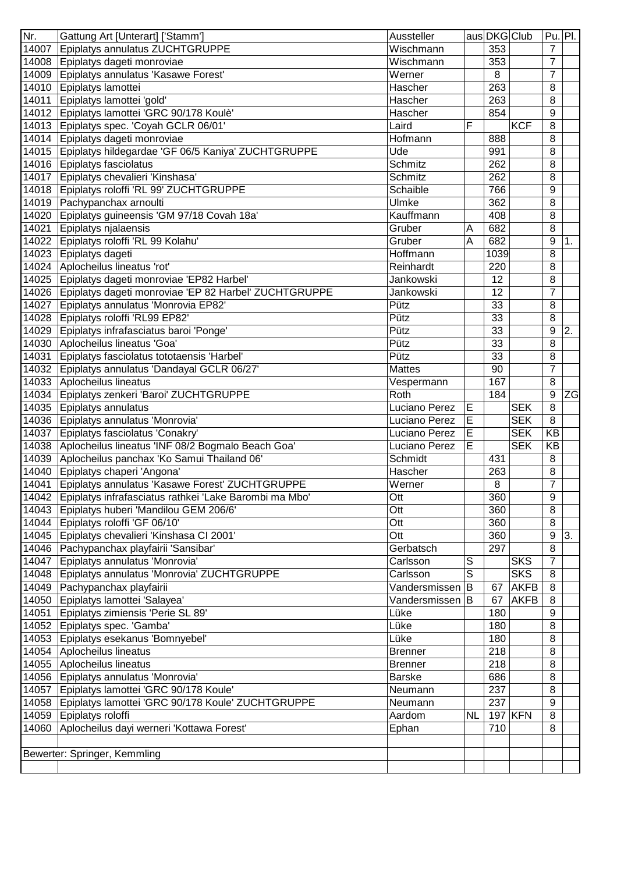| Nr.   | Gattung Art [Unterart] ['Stamm']<br>Aussteller                                   |                    | aus DKG Club |             | Pu. Pl.        |    |
|-------|----------------------------------------------------------------------------------|--------------------|--------------|-------------|----------------|----|
| 14007 | Epiplatys annulatus ZUCHTGRUPPE                                                  | Wischmann          | 353          |             | $\overline{7}$ |    |
|       | 14008 Epiplatys dageti monroviae                                                 | Wischmann          | 353          |             | $\overline{7}$ |    |
| 14009 | Epiplatys annulatus 'Kasawe Forest'<br>Werner                                    |                    | 8            |             | 7              |    |
|       | 14010 Epiplatys lamottei<br>Hascher                                              |                    | 263          |             | 8              |    |
| 14011 | Epiplatys lamottei 'gold'<br>Hascher                                             |                    | 263          |             | 8              |    |
| 14012 | Epiplatys lamottei 'GRC 90/178 Koulè'<br>Hascher                                 |                    | 854          |             | 9              |    |
| 14013 | Epiplatys spec. 'Coyah GCLR 06/01'<br>Laird                                      | F                  |              | <b>KCF</b>  | 8              |    |
| 14014 | Epiplatys dageti monroviae<br>Hofmann                                            |                    | 888          |             | 8              |    |
|       | 14015 Epiplatys hildegardae 'GF 06/5 Kaniya' ZUCHTGRUPPE<br>Ude                  |                    | 991          |             | 8              |    |
|       | 14016 Epiplatys fasciolatus<br>Schmitz                                           |                    | 262          |             | 8              |    |
| 14017 | Epiplatys chevalieri 'Kinshasa'<br><b>Schmitz</b>                                |                    | 262          |             | 8              |    |
| 14018 | Epiplatys roloffi 'RL 99' ZUCHTGRUPPE<br>Schaible                                |                    | 766          |             | 9              |    |
|       | 14019 Pachypanchax arnoulti<br>Ulmke                                             |                    | 362          |             | 8              |    |
| 14020 | Epiplatys guineensis 'GM 97/18 Covah 18a'                                        | Kauffmann          | 408          |             | 8              |    |
| 14021 | Epiplatys njalaensis<br>Gruber                                                   | A                  | 682          |             | 8              |    |
|       | 14022 Epiplatys roloffi 'RL 99 Kolahu'<br>Gruber                                 | Α                  | 682          |             | 9              | 1. |
|       | 14023 Epiplatys dageti<br>Hoffmann                                               |                    | 1039         |             | 8              |    |
|       | 14024 Aplocheilus lineatus 'rot'<br>Reinhardt                                    |                    | 220          |             | 8              |    |
|       | 14025 Epiplatys dageti monroviae 'EP82 Harbel'                                   | Jankowski          | 12           |             | 8              |    |
| 14026 | Epiplatys dageti monroviae 'EP 82 Harbel' ZUCHTGRUPPE<br>Jankowski               |                    | 12           |             | $\overline{7}$ |    |
| 14027 | Epiplatys annulatus 'Monrovia EP82'<br>Pütz                                      |                    | 33           |             | 8              |    |
|       | 14028 Epiplatys roloffi 'RL99 EP82'<br>Pütz                                      |                    | 33           |             | 8              |    |
| 14029 | Epiplatys infrafasciatus baroi 'Ponge'<br>Pütz                                   |                    | 33           |             | 9              | 2. |
|       | 14030 Aplocheilus lineatus 'Goa'<br>Pütz                                         |                    | 33           |             | 8              |    |
| 14031 | Epiplatys fasciolatus tototaensis 'Harbel'<br>Pütz                               |                    | 33           |             | 8              |    |
|       | 14032 Epiplatys annulatus 'Dandayal GCLR 06/27'<br><b>Mattes</b>                 |                    | 90           |             | 7              |    |
|       |                                                                                  |                    |              |             |                |    |
|       | 14033 Aplocheilus lineatus                                                       | Vespermann         | 167<br>184   |             | 8              |    |
| 14034 | Epiplatys zenkeri 'Baroi' ZUCHTGRUPPE<br>Roth                                    |                    |              |             | 9              | ZG |
|       |                                                                                  |                    |              |             |                |    |
| 14035 | Epiplatys annulatus                                                              | E<br>Luciano Perez |              | <b>SEK</b>  | 8              |    |
|       | 14036 Epiplatys annulatus 'Monrovia'                                             | E<br>Luciano Perez |              | <b>SEK</b>  | 8              |    |
| 14037 | Epiplatys fasciolatus 'Conakry'                                                  | E<br>Luciano Perez |              | <b>SEK</b>  | <b>KB</b>      |    |
|       | 14038 Aplocheilus lineatus 'INF 08/2 Bogmalo Beach Goa'                          | E<br>Luciano Perez |              | <b>SEK</b>  | KB             |    |
|       | 14039 Aplocheilus panchax 'Ko Samui Thailand 06'<br>Schmidt                      |                    | 431          |             | 8              |    |
|       | 14040 Epiplatys chaperi 'Angona'<br>Hascher                                      |                    | 263          |             | 8              |    |
|       | 14041 Epiplatys annulatus 'Kasawe Forest' ZUCHTGRUPPE<br>Werner                  |                    | 8            |             | $\overline{7}$ |    |
|       | 14042 Epiplatys infrafasciatus rathkei 'Lake Barombi ma Mbo'<br>$\overline{Ott}$ |                    | 360          |             | $\overline{9}$ |    |
|       | 14043 Epiplatys huberi 'Mandilou GEM 206/6'<br>Ott                               |                    | 360          |             | 8              |    |
|       | 14044 Epiplatys roloffi 'GF 06/10'<br>Ott                                        |                    | 360          |             | 8              |    |
|       | 14045 Epiplatys chevalieri 'Kinshasa CI 2001'<br>Ott                             |                    | 360          |             | 9              | 3. |
|       | 14046 Pachypanchax playfairii 'Sansibar'                                         | Gerbatsch          | 297          |             | 8              |    |
|       | 14047 Epiplatys annulatus 'Monrovia'<br>Carlsson                                 | S                  |              | <b>SKS</b>  | 7              |    |
|       | 14048 Epiplatys annulatus 'Monrovia' ZUCHTGRUPPE<br>Carlsson                     | $\overline{S}$     |              | <b>SKS</b>  | 8              |    |
|       | 14049 Pachypanchax playfairii                                                    | Vandersmissen<br>B | 67           | <b>AKFB</b> | 8              |    |
|       | 14050 Epiplatys lamottei 'Salayea'                                               | Vandersmissen B    | 67           | <b>AKFB</b> | 8              |    |
| 14051 | Epiplatys zimiensis 'Perie SL 89'<br>Lüke                                        |                    | 180          |             | 9              |    |
|       | 14052 Epiplatys spec. 'Gamba'<br>Lüke                                            |                    | 180          |             | 8              |    |
|       | Lüke<br>14053 Epiplatys esekanus 'Bomnyebel'                                     |                    | 180          |             | 8              |    |
|       | 14054 Aplocheilus lineatus<br><b>Brenner</b>                                     |                    | 218          |             | 8              |    |
|       | 14055 Aplocheilus lineatus<br><b>Brenner</b>                                     |                    | 218          |             | 8              |    |
|       | 14056 Epiplatys annulatus 'Monrovia'<br><b>Barske</b>                            |                    | 686          |             | 8              |    |
|       | 14057 Epiplatys lamottei 'GRC 90/178 Koule'<br>Neumann                           |                    | 237          |             | 8              |    |
|       | 14058 Epiplatys lamottei 'GRC 90/178 Koule' ZUCHTGRUPPE<br>Neumann               |                    | 237          |             | 9              |    |
|       | 14059 Epiplatys roloffi<br>Aardom                                                | <b>NL</b>          |              | 197 KFN     | 8              |    |
|       | 14060 Aplocheilus dayi werneri 'Kottawa Forest'<br>Ephan                         |                    | 710          |             | 8              |    |
|       |                                                                                  |                    |              |             |                |    |
|       | Bewerter: Springer, Kemmling                                                     |                    |              |             |                |    |